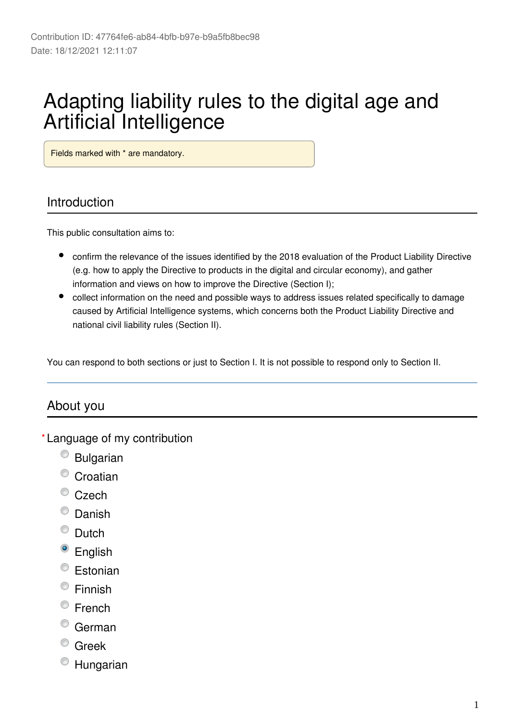## Adapting liability rules to the digital age and Artificial Intelligence

Fields marked with \* are mandatory.

#### Introduction

This public consultation aims to:

- $\bullet$ confirm the relevance of the issues identified by the 2018 evaluation of the Product Liability Directive (e.g. how to apply the Directive to products in the digital and circular economy), and gather information and views on how to improve the Directive (Section I);
- $\bullet$ collect information on the need and possible ways to address issues related specifically to damage caused by Artificial Intelligence systems, which concerns both the Product Liability Directive and national civil liability rules (Section II).

You can respond to both sections or just to Section I. It is not possible to respond only to Section II.

#### About you

- Language of my contribution **\***
	- Bulgarian
	- <sup>o</sup> Croatian
	- <sup>©</sup> Czech
	- $\bullet$  Danish
	- C Dutch
	- English
	- ⊙ Estonian
	- $\bullet$  Finnish
	- $\degree$  French
	- German
	- Greek
	- Hungarian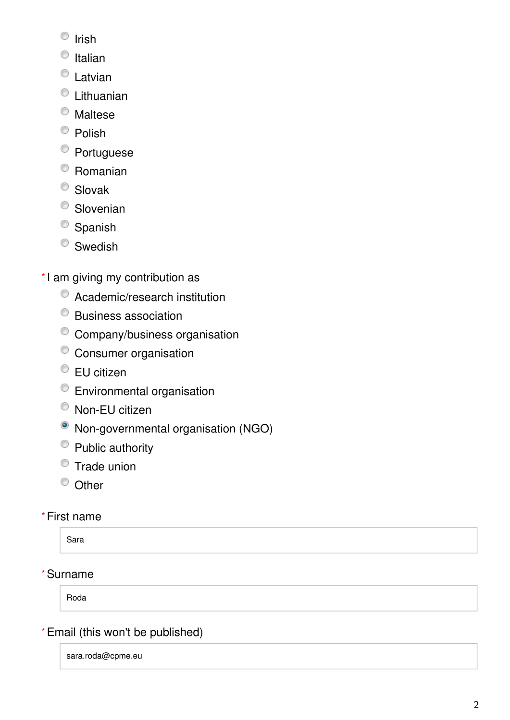- $\circ$  Irish
- $\bullet$  Italian
- Latvian
- Lithuanian
- Maltese
- <sup>O</sup> Polish
- <sup>O</sup> Portuguese
- Romanian
- <sup>O</sup> Slovak
- Slovenian
- <sup>O</sup> Spanish
- <sup>O</sup> Swedish
- \*I am giving my contribution as
	- Academic/research institution
	- Business association
	- Company/business organisation
	- <sup>o</sup> Consumer organisation
	- EU citizen
	- Environmental organisation
	- Non-EU citizen
	- Non-governmental organisation (NGO)
	- $\bullet$  Public authority
	- $\bullet$  Trade union
	- <sup>O</sup> Other

### First name **\***

Sara

### Surname **\***

Roda

### Email (this won't be published) **\***

sara.roda@cpme.eu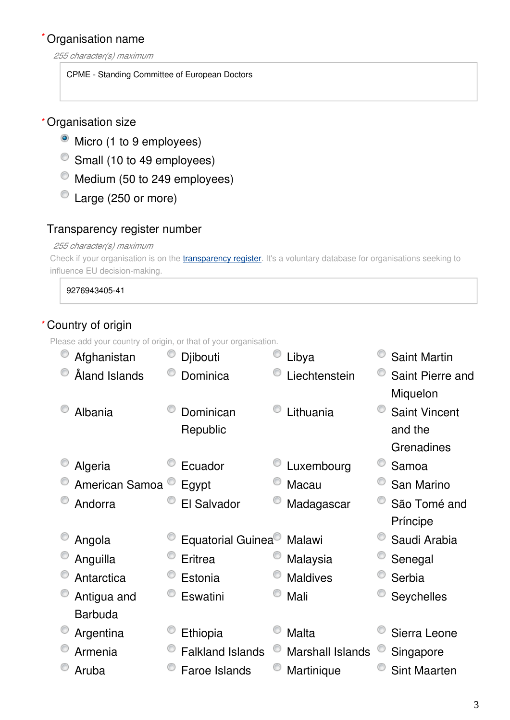#### Organisation name **\***

*255 character(s) maximum*

CPME - Standing Committee of European Doctors

#### Organisation size **\***

- Micro (1 to 9 employees)
- Small (10 to 49 employees)
- Medium (50 to 249 employees)
- Large (250 or more)

#### Transparency register number

#### *255 character(s) maximum*

Check if your organisation is on the [transparency register](http://ec.europa.eu/transparencyregister/public/homePage.do?redir=false&locale=en). It's a voluntary database for organisations seeking to influence EU decision-making.

9276943405-41

#### Country of origin **\***

Please add your country of origin, or that of your organisation.

| Afghanistan    | Djibouti                | Libya                   | <b>Saint Martin</b>  |
|----------------|-------------------------|-------------------------|----------------------|
| Åland Islands  | Dominica                | Liechtenstein           | Saint Pierre and     |
|                |                         |                         | Miquelon             |
| Albania        | Dominican               | Lithuania               | <b>Saint Vincent</b> |
|                | Republic                |                         | and the              |
|                |                         |                         | Grenadines           |
| Algeria        | Ecuador                 | Luxembourg              | Samoa                |
| American Samoa | Egypt                   | Macau                   | San Marino           |
| Andorra        | El Salvador             | Madagascar              | São Tomé and         |
|                |                         |                         | Príncipe             |
| Angola         | Equatorial Guinea       | Malawi                  | Saudi Arabia         |
| Anguilla       | Eritrea                 | Malaysia                | Senegal              |
| Antarctica     | Estonia                 | <b>Maldives</b>         | Serbia               |
| Antigua and    | Eswatini                | Mali                    | Seychelles           |
| <b>Barbuda</b> |                         |                         |                      |
| Argentina      | Ethiopia                | Malta                   | Sierra Leone         |
| Armenia        | <b>Falkland Islands</b> | <b>Marshall Islands</b> | Singapore            |
| Aruba          | Faroe Islands           | Martinique              | <b>Sint Maarten</b>  |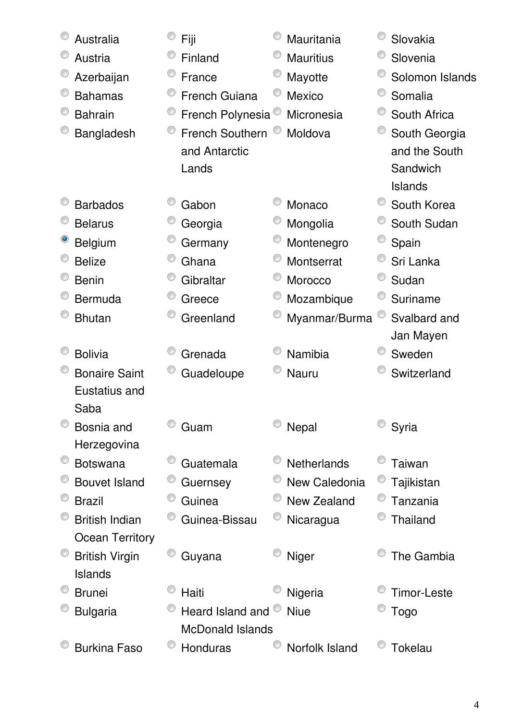| Australia              | Fiji                    | Mauritania         | Slovakia           |
|------------------------|-------------------------|--------------------|--------------------|
| Austria                | Finland                 | <b>Mauritius</b>   | Slovenia           |
| Azerbaijan             | France                  | Mayotte            | Solomon Islands    |
| <b>Bahamas</b>         | French Guiana           | Mexico             | Somalia            |
| <b>Bahrain</b>         | French Polynesia        | Micronesia         | South Africa       |
| Bangladesh             | <b>French Southern</b>  | Moldova            | South Georgia      |
|                        | and Antarctic           |                    | and the South      |
|                        | Lands                   |                    | Sandwich           |
|                        |                         |                    | Islands            |
| <b>Barbados</b>        | Gabon                   | Monaco             | South Korea        |
| <b>Belarus</b>         | Georgia                 | Mongolia           | South Sudan        |
| <b>Belgium</b>         | Germany                 | Montenegro         | Spain              |
| <b>Belize</b>          | Ghana                   | Montserrat         | Sri Lanka          |
| <b>Benin</b>           | Gibraltar               | Morocco            | Sudan              |
| <b>Bermuda</b>         | Greece                  | Mozambique         | Suriname           |
| <b>Bhutan</b>          | Greenland               | Myanmar/Burma      | Svalbard and       |
|                        |                         |                    | Jan Mayen          |
| <b>Bolivia</b>         | Grenada                 | Namibia            | Sweden             |
| <b>Bonaire Saint</b>   | Guadeloupe              | Nauru              | Switzerland        |
| Eustatius and          |                         |                    |                    |
| Saba                   |                         |                    |                    |
| Bosnia and             | Guam                    | Nepal              | Syria              |
| Herzegovina            |                         |                    |                    |
| <b>Botswana</b>        | Guatemala               | <b>Netherlands</b> | Taiwan             |
| <b>Bouvet Island</b>   | Guernsey                | New Caledonia      | Tajikistan         |
| <b>Brazil</b>          | Guinea                  | New Zealand        | Tanzania           |
| <b>British Indian</b>  | Guinea-Bissau           | Nicaragua          | <b>Thailand</b>    |
| <b>Ocean Territory</b> |                         |                    |                    |
| <b>British Virgin</b>  | Guyana                  | <b>Niger</b>       | The Gambia         |
| Islands                |                         |                    |                    |
| <b>Brunei</b>          | Haiti                   | Nigeria            | <b>Timor-Leste</b> |
| <b>Bulgaria</b>        | Heard Island and        | <b>Niue</b>        | <b>Togo</b>        |
|                        | <b>McDonald Islands</b> |                    |                    |
| <b>Burkina Faso</b>    | Honduras                | Norfolk Island     | <b>Tokelau</b>     |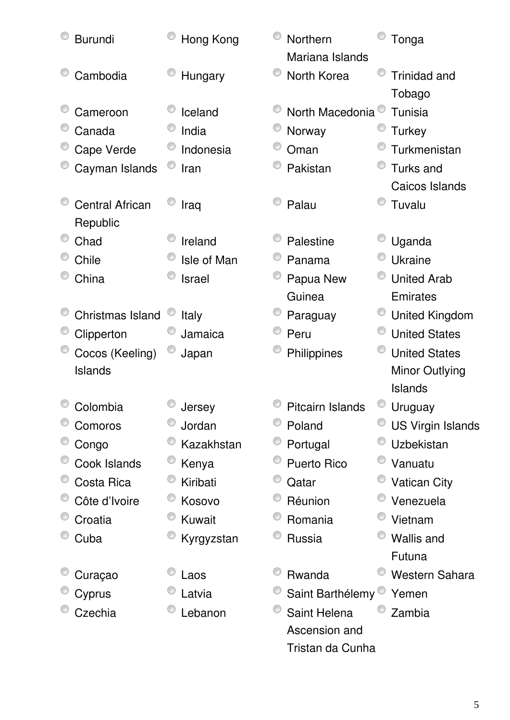| <b>Burundi</b>                     | Hong Kong     | Northern<br>Tonga<br>Mariana Islands         |
|------------------------------------|---------------|----------------------------------------------|
| Cambodia                           | Hungary       | North Korea<br><b>Trinidad and</b><br>Tobago |
| Cameroon                           | Iceland       | North Macedonia<br>Tunisia                   |
| Canada                             | India         | Norway<br><b>Turkey</b>                      |
| Cape Verde                         | Indonesia     | Turkmenistan<br>Oman                         |
| Cayman Islands                     | Iran          | Turks and<br>Pakistan                        |
|                                    |               | Caicos Islands                               |
| <b>Central African</b><br>Republic | Iraq          | Palau<br>Tuvalu                              |
| Chad                               | Ireland       | Palestine<br>Uganda                          |
| Chile                              | Isle of Man   | <b>Ukraine</b><br>Panama                     |
| China                              | <b>Israel</b> | <b>United Arab</b><br>Papua New              |
|                                    |               | <b>Emirates</b><br>Guinea                    |
| <b>Christmas Island</b>            | <b>Italy</b>  | <b>United Kingdom</b><br>Paraguay            |
| Clipperton                         | Jamaica       | Peru<br><b>United States</b>                 |
| Cocos (Keeling)                    | Japan         | Philippines<br><b>United States</b>          |
| Islands                            |               | <b>Minor Outlying</b>                        |
|                                    |               | <b>Islands</b>                               |
| Colombia                           | Jersey        | Pitcairn Islands<br>Uruguay                  |
| Comoros                            | Jordan        | Poland<br><b>US Virgin Islands</b>           |
| Congo                              | Kazakhstan    | Uzbekistan<br>Portugal                       |
| Cook Islands                       | Kenya         | <b>Puerto Rico</b><br>Vanuatu                |
| Costa Rica                         | Kiribati      | <b>Vatican City</b><br>Qatar                 |
| Côte d'Ivoire                      | Kosovo        | Réunion<br>Venezuela                         |
| Croatia                            | Kuwait        | Vietnam<br>Romania                           |
| Cuba                               | Kyrgyzstan    | Russia<br><b>Wallis and</b>                  |
|                                    |               | Futuna                                       |
| Curaçao                            | Laos          | <b>Western Sahara</b><br>Rwanda              |
| Cyprus                             | Latvia        | Saint Barthélemy<br>Yemen                    |
| Czechia                            | Lebanon       | Saint Helena<br>Zambia                       |
|                                    |               | Ascension and                                |

Tristan da Cunha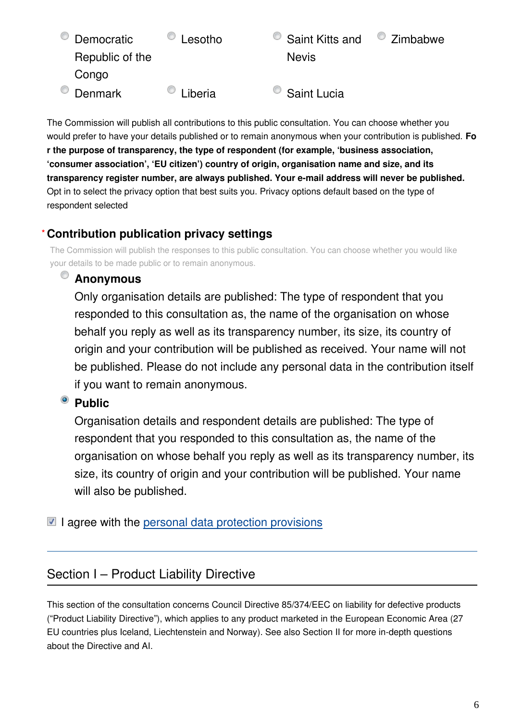| O<br>Democratic | Lesotho | Saint Kitts and C Zimbabwe |  |
|-----------------|---------|----------------------------|--|
| Republic of the |         | <b>Nevis</b>               |  |
| Congo           |         |                            |  |
| Denmark         | Liberia | Saint Lucia                |  |

The Commission will publish all contributions to this public consultation. You can choose whether you would prefer to have your details published or to remain anonymous when your contribution is published. **Fo r the purpose of transparency, the type of respondent (for example, 'business association, 'consumer association', 'EU citizen') country of origin, organisation name and size, and its transparency register number, are always published. Your e-mail address will never be published.** Opt in to select the privacy option that best suits you. Privacy options default based on the type of respondent selected

#### **Contribution publication privacy settings \***

The Commission will publish the responses to this public consultation. You can choose whether you would like your details to be made public or to remain anonymous.

### **Anonymous**

Only organisation details are published: The type of respondent that you responded to this consultation as, the name of the organisation on whose behalf you reply as well as its transparency number, its size, its country of origin and your contribution will be published as received. Your name will not be published. Please do not include any personal data in the contribution itself if you want to remain anonymous.

### <sup>®</sup> Public

Organisation details and respondent details are published: The type of respondent that you responded to this consultation as, the name of the organisation on whose behalf you reply as well as its transparency number, its size, its country of origin and your contribution will be published. Your name will also be published.

 $\blacksquare$  I agree with the [personal data protection provisions](https://ec.europa.eu/info/law/better-regulation/specific-privacy-statement)

### Section I – Product Liability Directive

This section of the consultation concerns Council Directive 85/374/EEC on liability for defective products ("Product Liability Directive"), which applies to any product marketed in the European Economic Area (27 EU countries plus Iceland, Liechtenstein and Norway). See also Section II for more in-depth questions about the Directive and AI.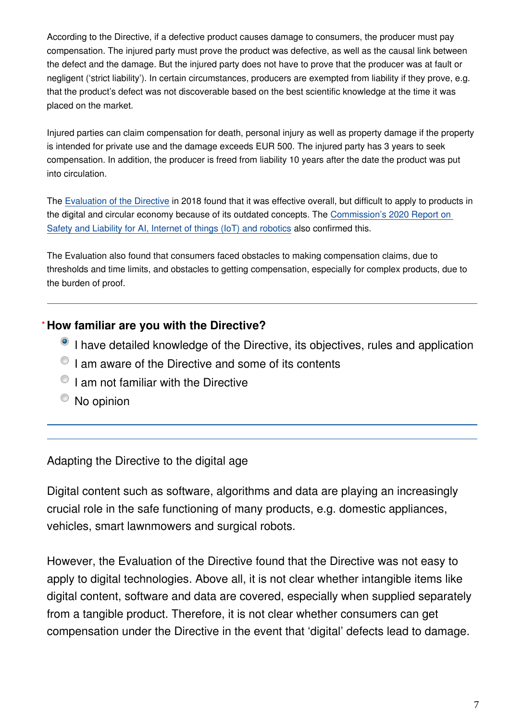According to the Directive, if a defective product causes damage to consumers, the producer must pay compensation. The injured party must prove the product was defective, as well as the causal link between the defect and the damage. But the injured party does not have to prove that the producer was at fault or negligent ('strict liability'). In certain circumstances, producers are exempted from liability if they prove, e.g. that the product's defect was not discoverable based on the best scientific knowledge at the time it was placed on the market.

Injured parties can claim compensation for death, personal injury as well as property damage if the property is intended for private use and the damage exceeds EUR 500. The injured party has 3 years to seek compensation. In addition, the producer is freed from liability 10 years after the date the product was put into circulation.

The [Evaluation of the Directive](https://eur-lex.europa.eu/legal-content/EN/TXT/?uri=SWD:2018:157:FIN) in 2018 found that it was effective overall, but difficult to apply to products in the digital and circular economy because of its outdated concepts. The [Commission's 2020 Report on](https://eur-lex.europa.eu/legal-content/en/TXT/?qid=1593079180383&uri=CELEX%3A52020DC0064)  [Safety and Liability for AI, Internet of things \(IoT\) and robotics](https://eur-lex.europa.eu/legal-content/en/TXT/?qid=1593079180383&uri=CELEX%3A52020DC0064) also confirmed this.

The Evaluation also found that consumers faced obstacles to making compensation claims, due to thresholds and time limits, and obstacles to getting compensation, especially for complex products, due to the burden of proof.

#### **How familiar are you with the Directive? \***

- I have detailed knowledge of the Directive, its objectives, rules and application
- $\bullet$  I am aware of the Directive and some of its contents
- $\bullet$  I am not familiar with the Directive
- No opinion

Adapting the Directive to the digital age

Digital content such as software, algorithms and data are playing an increasingly crucial role in the safe functioning of many products, e.g. domestic appliances, vehicles, smart lawnmowers and surgical robots.

However, the Evaluation of the Directive found that the Directive was not easy to apply to digital technologies. Above all, it is not clear whether intangible items like digital content, software and data are covered, especially when supplied separately from a tangible product. Therefore, it is not clear whether consumers can get compensation under the Directive in the event that 'digital' defects lead to damage.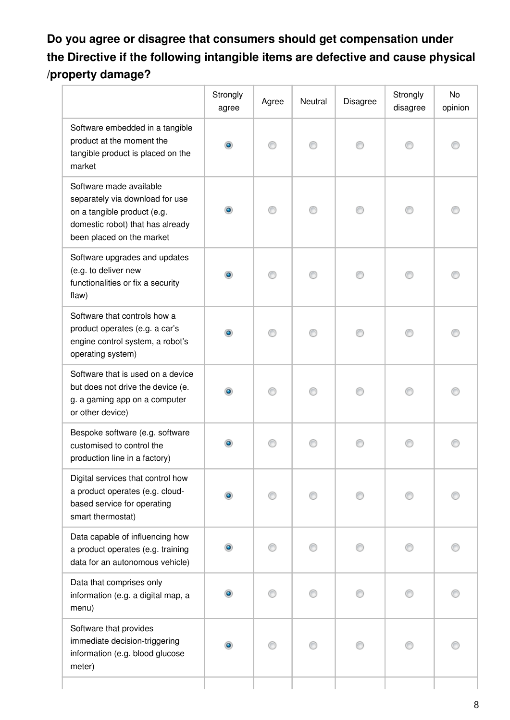### **Do you agree or disagree that consumers should get compensation under the Directive if the following intangible items are defective and cause physical /property damage?**

|                                                                                                                                                            | Strongly<br>agree | Agree | Neutral | <b>Disagree</b> | Strongly<br>disagree | No<br>opinion |
|------------------------------------------------------------------------------------------------------------------------------------------------------------|-------------------|-------|---------|-----------------|----------------------|---------------|
| Software embedded in a tangible<br>product at the moment the<br>tangible product is placed on the<br>market                                                | $\bullet$         | 0     |         |                 |                      |               |
| Software made available<br>separately via download for use<br>on a tangible product (e.g.<br>domestic robot) that has already<br>been placed on the market | $\bullet$         | 0     | ∩       | ⊙               | €                    |               |
| Software upgrades and updates<br>(e.g. to deliver new<br>functionalities or fix a security<br>flaw)                                                        | $\bullet$         |       |         |                 |                      |               |
| Software that controls how a<br>product operates (e.g. a car's<br>engine control system, a robot's<br>operating system)                                    | $\bullet$         |       |         |                 |                      |               |
| Software that is used on a device<br>but does not drive the device (e.<br>g. a gaming app on a computer<br>or other device)                                | $\bullet$         |       |         |                 |                      |               |
| Bespoke software (e.g. software<br>customised to control the<br>production line in a factory)                                                              | $\bullet$         | ∩     | ∩       |                 |                      |               |
| Digital services that control how<br>a product operates (e.g. cloud-<br>based service for operating<br>smart thermostat)                                   | ۰                 |       |         |                 |                      |               |
| Data capable of influencing how<br>a product operates (e.g. training<br>data for an autonomous vehicle)                                                    | $\bullet$         |       |         |                 |                      |               |
| Data that comprises only<br>information (e.g. a digital map, a<br>menu)                                                                                    | $\bullet$         |       |         |                 |                      |               |
| Software that provides<br>immediate decision-triggering<br>information (e.g. blood glucose<br>meter)                                                       |                   |       |         |                 |                      |               |
|                                                                                                                                                            |                   |       |         |                 |                      |               |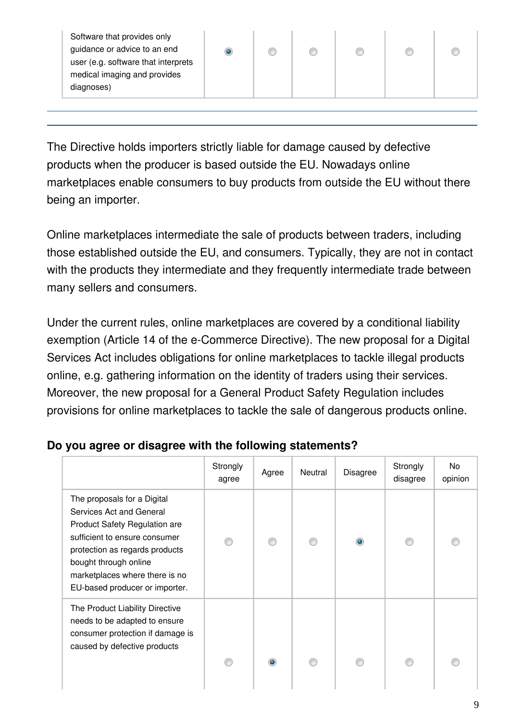| Software that provides only<br>guidance or advice to an end<br>user (e.g. software that interprets<br>medical imaging and provides | diagnoses) |
|------------------------------------------------------------------------------------------------------------------------------------|------------|
|------------------------------------------------------------------------------------------------------------------------------------|------------|

The Directive holds importers strictly liable for damage caused by defective products when the producer is based outside the EU. Nowadays online marketplaces enable consumers to buy products from outside the EU without there being an importer.

Online marketplaces intermediate the sale of products between traders, including those established outside the EU, and consumers. Typically, they are not in contact with the products they intermediate and they frequently intermediate trade between many sellers and consumers.

Under the current rules, online marketplaces are covered by a conditional liability exemption (Article 14 of the e-Commerce Directive). The new proposal for a Digital Services Act includes obligations for online marketplaces to tackle illegal products online, e.g. gathering information on the identity of traders using their services. Moreover, the new proposal for a General Product Safety Regulation includes provisions for online marketplaces to tackle the sale of dangerous products online.

|                                                                                                                                                                                                                                                          | Strongly<br>agree | Agree     | Neutral | Disagree  | Strongly<br>disagree | No<br>opinion |
|----------------------------------------------------------------------------------------------------------------------------------------------------------------------------------------------------------------------------------------------------------|-------------------|-----------|---------|-----------|----------------------|---------------|
| The proposals for a Digital<br>Services Act and General<br>Product Safety Regulation are<br>sufficient to ensure consumer<br>protection as regards products<br>bought through online<br>marketplaces where there is no<br>EU-based producer or importer. |                   |           |         | $\bullet$ |                      |               |
| The Product Liability Directive<br>needs to be adapted to ensure<br>consumer protection if damage is<br>caused by defective products                                                                                                                     |                   | $\bullet$ |         |           |                      |               |

#### **Do you agree or disagree with the following statements?**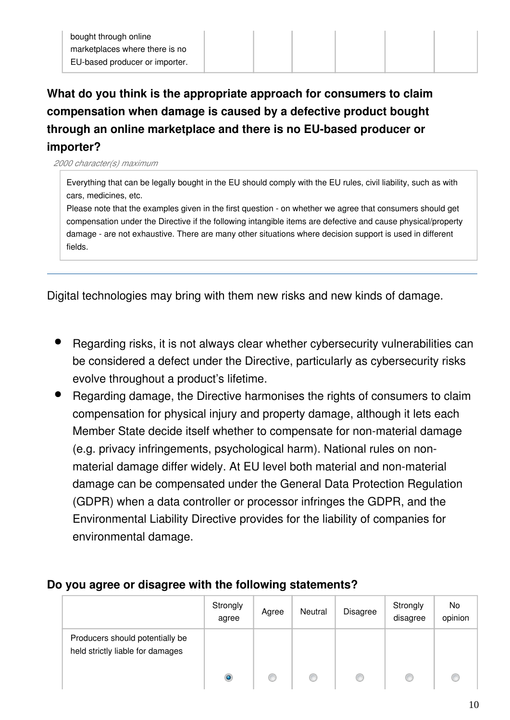### **What do you think is the appropriate approach for consumers to claim compensation when damage is caused by a defective product bought through an online marketplace and there is no EU-based producer or importer?**

*2000 character(s) maximum*

Everything that can be legally bought in the EU should comply with the EU rules, civil liability, such as with cars, medicines, etc.

Please note that the examples given in the first question - on whether we agree that consumers should get compensation under the Directive if the following intangible items are defective and cause physical/property damage - are not exhaustive. There are many other situations where decision support is used in different fields.

Digital technologies may bring with them new risks and new kinds of damage.

- Regarding risks, it is not always clear whether cybersecurity vulnerabilities can be considered a defect under the Directive, particularly as cybersecurity risks evolve throughout a product's lifetime.
- Regarding damage, the Directive harmonises the rights of consumers to claim compensation for physical injury and property damage, although it lets each Member State decide itself whether to compensate for non-material damage (e.g. privacy infringements, psychological harm). National rules on nonmaterial damage differ widely. At EU level both material and non-material damage can be compensated under the General Data Protection Regulation (GDPR) when a data controller or processor infringes the GDPR, and the Environmental Liability Directive provides for the liability of companies for environmental damage.

#### **Do you agree or disagree with the following statements?**

|                                                                     | Strongly<br>agree | Agree | Neutral | <b>Disagree</b> | Strongly<br>disagree | No<br>opinion |
|---------------------------------------------------------------------|-------------------|-------|---------|-----------------|----------------------|---------------|
| Producers should potentially be<br>held strictly liable for damages |                   |       |         |                 |                      |               |
|                                                                     |                   |       |         | ⊙               | O                    |               |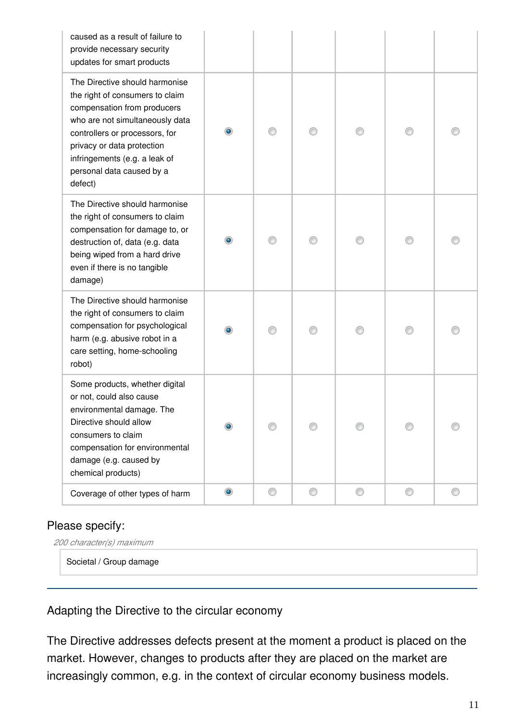| caused as a result of failure to<br>provide necessary security<br>updates for smart products                                                                                                                                                                                 |           |   |   |   |   |   |
|------------------------------------------------------------------------------------------------------------------------------------------------------------------------------------------------------------------------------------------------------------------------------|-----------|---|---|---|---|---|
| The Directive should harmonise<br>the right of consumers to claim<br>compensation from producers<br>who are not simultaneously data<br>controllers or processors, for<br>privacy or data protection<br>infringements (e.g. a leak of<br>personal data caused by a<br>defect) |           |   |   |   |   |   |
| The Directive should harmonise<br>the right of consumers to claim<br>compensation for damage to, or<br>destruction of, data (e.g. data<br>being wiped from a hard drive<br>even if there is no tangible<br>damage)                                                           |           |   |   |   |   |   |
| The Directive should harmonise<br>the right of consumers to claim<br>compensation for psychological<br>harm (e.g. abusive robot in a<br>care setting, home-schooling<br>robot)                                                                                               |           |   |   |   |   |   |
| Some products, whether digital<br>or not, could also cause<br>environmental damage. The<br>Directive should allow<br>consumers to claim<br>compensation for environmental<br>damage (e.g. caused by<br>chemical products)                                                    |           |   |   |   |   |   |
| Coverage of other types of harm                                                                                                                                                                                                                                              | $\bullet$ | 0 | 0 | 0 | 0 | ⊙ |

### Please specify:

*200 character(s) maximum*

Societal / Group damage

Adapting the Directive to the circular economy

The Directive addresses defects present at the moment a product is placed on the market. However, changes to products after they are placed on the market are increasingly common, e.g. in the context of circular economy business models.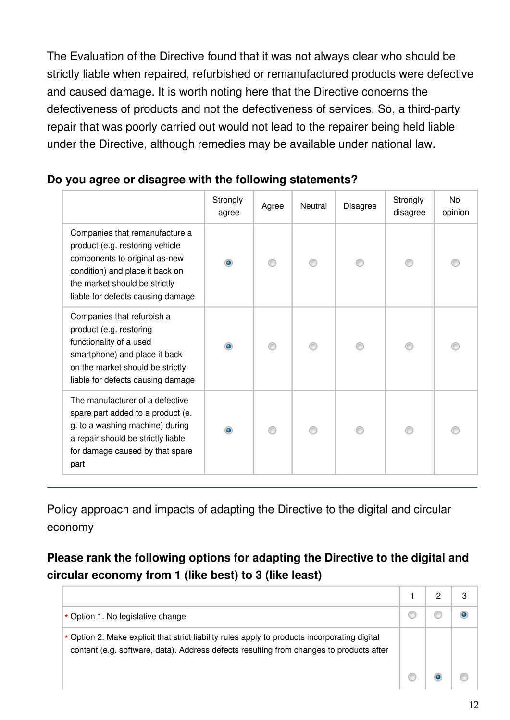The Evaluation of the Directive found that it was not always clear who should be strictly liable when repaired, refurbished or remanufactured products were defective and caused damage. It is worth noting here that the Directive concerns the defectiveness of products and not the defectiveness of services. So, a third-party repair that was poorly carried out would not lead to the repairer being held liable under the Directive, although remedies may be available under national law.

|                                                                                                                                                                                                             | Strongly<br>agree | Agree | Neutral | <b>Disagree</b> | Strongly<br>disagree | N <sub>o</sub><br>opinion |
|-------------------------------------------------------------------------------------------------------------------------------------------------------------------------------------------------------------|-------------------|-------|---------|-----------------|----------------------|---------------------------|
| Companies that remanufacture a<br>product (e.g. restoring vehicle<br>components to original as-new<br>condition) and place it back on<br>the market should be strictly<br>liable for defects causing damage | ۵                 |       |         |                 |                      |                           |
| Companies that refurbish a<br>product (e.g. restoring<br>functionality of a used<br>smartphone) and place it back<br>on the market should be strictly<br>liable for defects causing damage                  |                   |       |         |                 |                      |                           |
| The manufacturer of a defective<br>spare part added to a product (e.<br>g. to a washing machine) during<br>a repair should be strictly liable<br>for damage caused by that spare<br>part                    |                   |       |         |                 |                      |                           |

#### **Do you agree or disagree with the following statements?**

Policy approach and impacts of adapting the Directive to the digital and circular economy

### **Please rank the following options for adapting the Directive to the digital and circular economy from 1 (like best) to 3 (like least)**

|                                                                                                                                                                                          | ົ | 3 |
|------------------------------------------------------------------------------------------------------------------------------------------------------------------------------------------|---|---|
| * Option 1. No legislative change                                                                                                                                                        |   |   |
| * Option 2. Make explicit that strict liability rules apply to products incorporating digital<br>content (e.g. software, data). Address defects resulting from changes to products after |   |   |
|                                                                                                                                                                                          |   |   |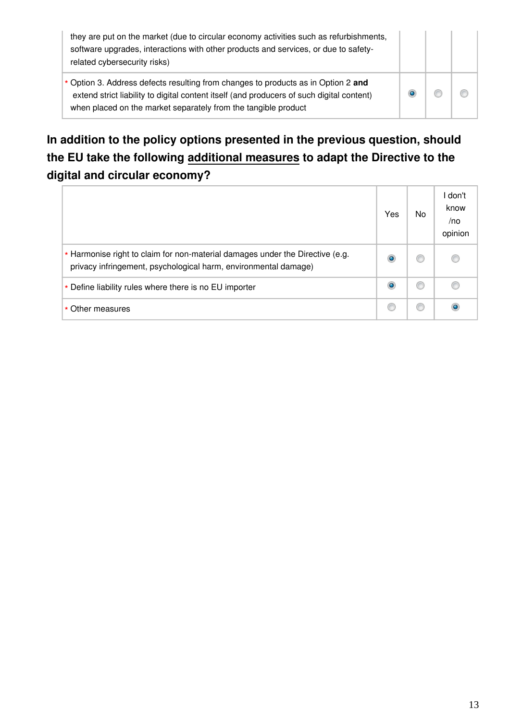| they are put on the market (due to circular economy activities such as refurbishments,<br>software upgrades, interactions with other products and services, or due to safety-<br>related cybersecurity risks)                                    |  |  |
|--------------------------------------------------------------------------------------------------------------------------------------------------------------------------------------------------------------------------------------------------|--|--|
| * Option 3. Address defects resulting from changes to products as in Option 2 and<br>extend strict liability to digital content itself (and producers of such digital content)<br>when placed on the market separately from the tangible product |  |  |

### **In addition to the policy options presented in the previous question, should the EU take the following additional measures to adapt the Directive to the digital and circular economy?**

|                                                                                                                                                  | Yes | No | I don't<br>know<br>/no<br>opinion |
|--------------------------------------------------------------------------------------------------------------------------------------------------|-----|----|-----------------------------------|
| * Harmonise right to claim for non-material damages under the Directive (e.g.<br>privacy infringement, psychological harm, environmental damage) |     |    |                                   |
| * Define liability rules where there is no EU importer                                                                                           |     | C  |                                   |
| * Other measures                                                                                                                                 |     | Œ  |                                   |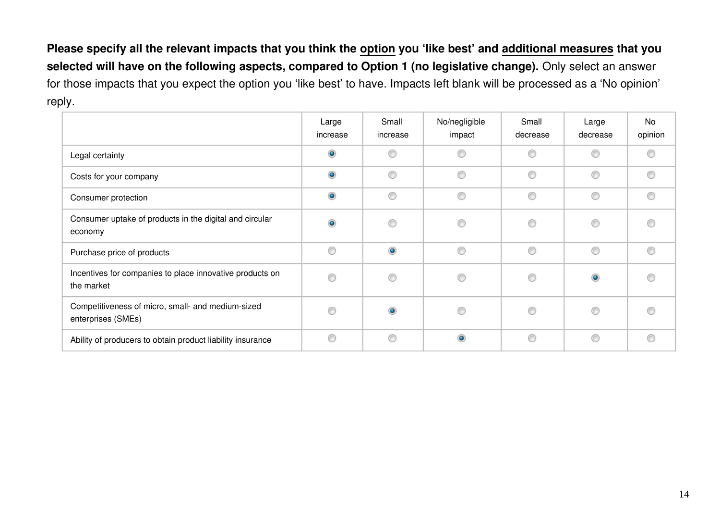**Please specify all the relevant impacts that you think the option you 'like best' and additional measures that you selected will have on the following aspects, compared to Option 1 (no legislative change).** Only select an answer for those impacts that you expect the option you 'like best' to have. Impacts left blank will be processed as a 'No opinion' reply.

|                                                                         | Large<br>increase | Small<br>increase | No/negligible<br>impact | Small<br>decrease | Large<br>decrease | <b>No</b><br>opinion |
|-------------------------------------------------------------------------|-------------------|-------------------|-------------------------|-------------------|-------------------|----------------------|
| Legal certainty                                                         | $\bullet$         | ⊙                 | ⋒                       | ∩                 | €                 |                      |
| Costs for your company                                                  | $\bullet$         | 0                 | ∩                       | ◉                 | ◉                 | ⋒                    |
| Consumer protection                                                     | $\bullet$         | 0                 | ⊙                       | 0                 | ⊙                 |                      |
| Consumer uptake of products in the digital and circular<br>economy      | $\bullet$         | 0                 | ⊙                       | ◉                 | ⊙                 |                      |
| Purchase price of products                                              | ⊙                 | $\bullet$         | ◉                       | ◉                 | ⊙                 |                      |
| Incentives for companies to place innovative products on<br>the market  | ⋒                 | 0                 | ⊙                       | ⊙                 | $\bullet$         |                      |
| Competitiveness of micro, small- and medium-sized<br>enterprises (SMEs) | ⋒                 | $\bullet$         | ∩                       | ◉                 | ∩                 |                      |
| Ability of producers to obtain product liability insurance              | ◉                 | 0                 | $\bullet$               | ◉                 | ◉                 |                      |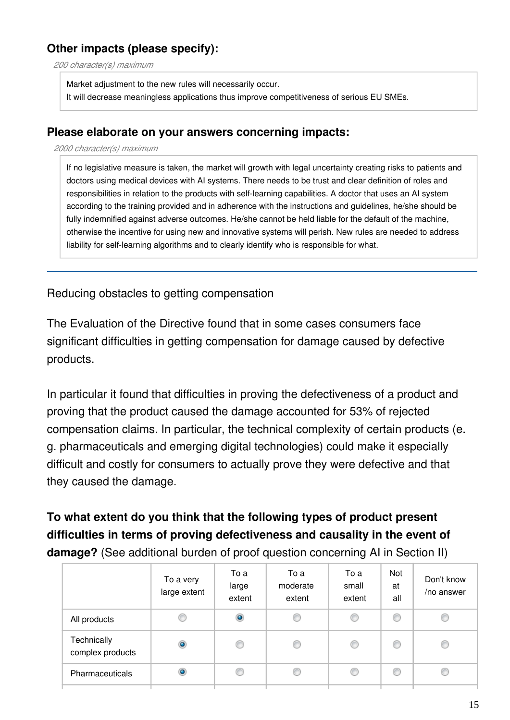### **Other impacts (please specify):**

*200 character(s) maximum*

Market adjustment to the new rules will necessarily occur.

It will decrease meaningless applications thus improve competitiveness of serious EU SMEs.

#### **Please elaborate on your answers concerning impacts:**

*2000 character(s) maximum*

If no legislative measure is taken, the market will growth with legal uncertainty creating risks to patients and doctors using medical devices with AI systems. There needs to be trust and clear definition of roles and responsibilities in relation to the products with self-learning capabilities. A doctor that uses an AI system according to the training provided and in adherence with the instructions and guidelines, he/she should be fully indemnified against adverse outcomes. He/she cannot be held liable for the default of the machine, otherwise the incentive for using new and innovative systems will perish. New rules are needed to address liability for self-learning algorithms and to clearly identify who is responsible for what.

Reducing obstacles to getting compensation

The Evaluation of the Directive found that in some cases consumers face significant difficulties in getting compensation for damage caused by defective products.

In particular it found that difficulties in proving the defectiveness of a product and proving that the product caused the damage accounted for 53% of rejected compensation claims. In particular, the technical complexity of certain products (e. g. pharmaceuticals and emerging digital technologies) could make it especially difficult and costly for consumers to actually prove they were defective and that they caused the damage.

**To what extent do you think that the following types of product present difficulties in terms of proving defectiveness and causality in the event of damage?** (See additional burden of proof question concerning AI in Section II)

|                                 | To a very<br>large extent | To a<br>large<br>extent | To a<br>moderate<br>extent | To a<br>small<br>extent | <b>Not</b><br>at<br>all | Don't know<br>/no answer |
|---------------------------------|---------------------------|-------------------------|----------------------------|-------------------------|-------------------------|--------------------------|
| All products                    | ◎                         | ۱                       | C                          | C                       | €                       |                          |
| Technically<br>complex products | ۱                         | 0                       | O                          | C                       | C                       | O                        |
| Pharmaceuticals                 | $\circ$                   | ◎                       | C                          | €                       | ◎                       | O                        |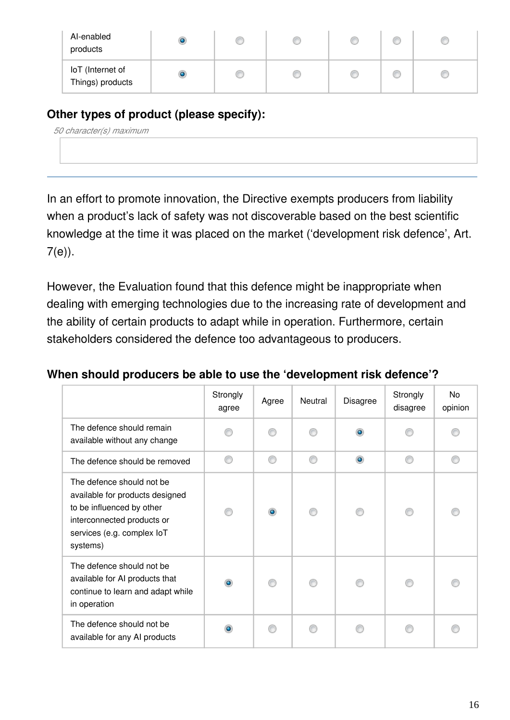| Al-enabled<br>products               |  |  |  |
|--------------------------------------|--|--|--|
| loT (Internet of<br>Things) products |  |  |  |

#### **Other types of product (please specify):**

*50 character(s) maximum*

In an effort to promote innovation, the Directive exempts producers from liability when a product's lack of safety was not discoverable based on the best scientific knowledge at the time it was placed on the market ('development risk defence', Art.  $7(e)$ ).

However, the Evaluation found that this defence might be inappropriate when dealing with emerging technologies due to the increasing rate of development and the ability of certain products to adapt while in operation. Furthermore, certain stakeholders considered the defence too advantageous to producers.

|                                                                                                                                                                   | Strongly<br>agree | Agree     | Neutral | <b>Disagree</b> | Strongly<br>disagree | No<br>opinion |
|-------------------------------------------------------------------------------------------------------------------------------------------------------------------|-------------------|-----------|---------|-----------------|----------------------|---------------|
| The defence should remain<br>available without any change                                                                                                         |                   |           |         | ۵               |                      |               |
| The defence should be removed                                                                                                                                     | ∩                 | ∩         | ∩       | $\bullet$       | ⋒                    | ⋒             |
| The defence should not be<br>available for products designed<br>to be influenced by other<br>interconnected products or<br>services (e.g. complex IoT<br>systems) |                   | $\bullet$ |         |                 |                      |               |
| The defence should not be<br>available for AI products that<br>continue to learn and adapt while<br>in operation                                                  | ۰                 |           |         |                 |                      |               |
| The defence should not be<br>available for any AI products                                                                                                        | ۰                 |           |         |                 |                      |               |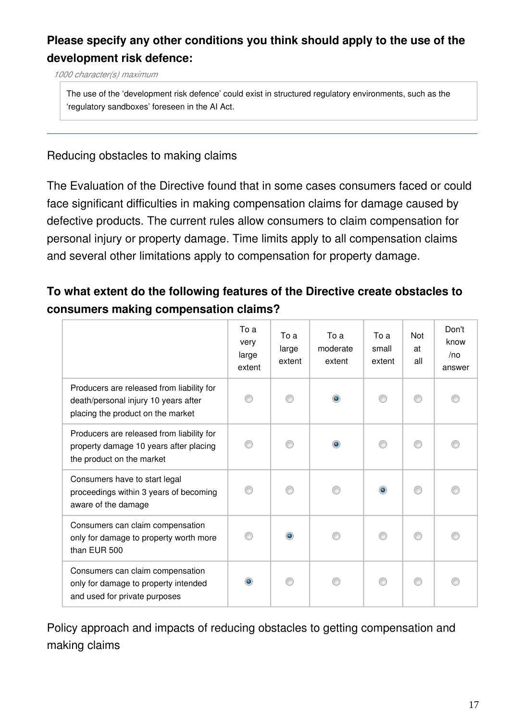### **Please specify any other conditions you think should apply to the use of the development risk defence:**

*1000 character(s) maximum*

The use of the 'development risk defence' could exist in structured regulatory environments, such as the 'regulatory sandboxes' foreseen in the AI Act.

Reducing obstacles to making claims

The Evaluation of the Directive found that in some cases consumers faced or could face significant difficulties in making compensation claims for damage caused by defective products. The current rules allow consumers to claim compensation for personal injury or property damage. Time limits apply to all compensation claims and several other limitations apply to compensation for property damage.

### **To what extent do the following features of the Directive create obstacles to consumers making compensation claims?**

|                                                                                                                        | To a<br>very<br>large<br>extent | To a<br>large<br>extent | To a<br>moderate<br>extent | To a<br>small<br>extent | Not<br>at<br>all | Don't<br>know<br>/no<br>answer |
|------------------------------------------------------------------------------------------------------------------------|---------------------------------|-------------------------|----------------------------|-------------------------|------------------|--------------------------------|
| Producers are released from liability for<br>death/personal injury 10 years after<br>placing the product on the market | ∩                               |                         | $\bullet$                  |                         |                  |                                |
| Producers are released from liability for<br>property damage 10 years after placing<br>the product on the market       |                                 |                         | ۰                          |                         |                  |                                |
| Consumers have to start legal<br>proceedings within 3 years of becoming<br>aware of the damage                         |                                 |                         |                            |                         | ⋒                |                                |
| Consumers can claim compensation<br>only for damage to property worth more<br>than EUR 500                             |                                 |                         |                            |                         |                  |                                |
| Consumers can claim compensation<br>only for damage to property intended<br>and used for private purposes              | $\bullet$                       |                         |                            |                         |                  |                                |

Policy approach and impacts of reducing obstacles to getting compensation and making claims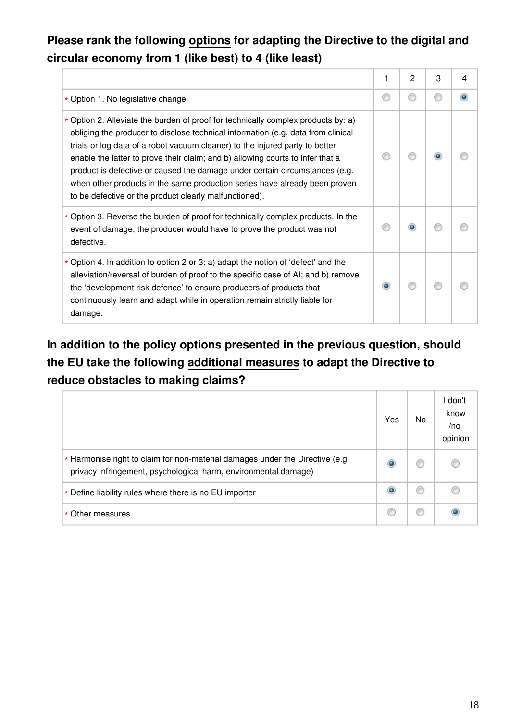### **Please rank the following options for adapting the Directive to the digital and circular economy from 1 (like best) to 4 (like least)**

|                                                                                                                                                                                                                                                                                                                                                                                                                                                                                                                                                                | 1         | 2 | 3 |  |
|----------------------------------------------------------------------------------------------------------------------------------------------------------------------------------------------------------------------------------------------------------------------------------------------------------------------------------------------------------------------------------------------------------------------------------------------------------------------------------------------------------------------------------------------------------------|-----------|---|---|--|
| * Option 1. No legislative change                                                                                                                                                                                                                                                                                                                                                                                                                                                                                                                              | €         |   |   |  |
| * Option 2. Alleviate the burden of proof for technically complex products by: a)<br>obliging the producer to disclose technical information (e.g. data from clinical<br>trials or log data of a robot vacuum cleaner) to the injured party to better<br>enable the latter to prove their claim; and b) allowing courts to infer that a<br>product is defective or caused the damage under certain circumstances (e.g.<br>when other products in the same production series have already been proven<br>to be defective or the product clearly malfunctioned). |           |   |   |  |
| * Option 3. Reverse the burden of proof for technically complex products. In the<br>event of damage, the producer would have to prove the product was not<br>defective.                                                                                                                                                                                                                                                                                                                                                                                        |           |   |   |  |
| * Option 4. In addition to option 2 or 3: a) adapt the notion of 'defect' and the<br>alleviation/reversal of burden of proof to the specific case of AI; and b) remove<br>the 'development risk defence' to ensure producers of products that<br>continuously learn and adapt while in operation remain strictly liable for<br>damage.                                                                                                                                                                                                                         | $\bullet$ |   |   |  |

### **In addition to the policy options presented in the previous question, should the EU take the following additional measures to adapt the Directive to reduce obstacles to making claims?**

|                                                                                                                                                  | Yes | No | I don't<br>know<br>/no<br>opinion |
|--------------------------------------------------------------------------------------------------------------------------------------------------|-----|----|-----------------------------------|
| * Harmonise right to claim for non-material damages under the Directive (e.g.<br>privacy infringement, psychological harm, environmental damage) |     |    |                                   |
| * Define liability rules where there is no EU importer                                                                                           |     |    |                                   |
| * Other measures                                                                                                                                 |     |    |                                   |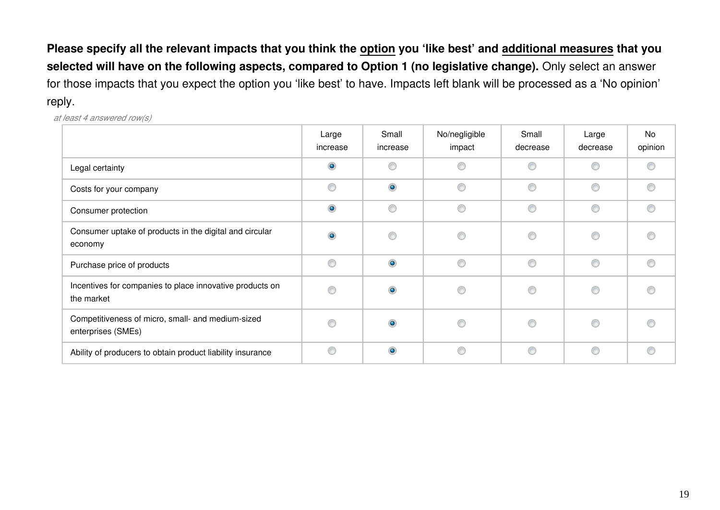**Please specify all the relevant impacts that you think the option you 'like best' and additional measures that you selected will have on the following aspects, compared to Option 1 (no legislative change).** Only select an answer for those impacts that you expect the option you 'like best' to have. Impacts left blank will be processed as a 'No opinion' reply.

*at least 4 answered row(s)*

|                                                                         | Large<br>increase | Small<br>increase | No/negligible<br>impact | Small<br>decrease | Large<br>decrease | No<br>opinion |
|-------------------------------------------------------------------------|-------------------|-------------------|-------------------------|-------------------|-------------------|---------------|
| Legal certainty                                                         | $\bullet$         | ⋒                 | C                       |                   | ◉                 | ◎             |
| Costs for your company                                                  | 0                 | $\bullet$         | O                       | ⊙                 | ◉                 | ⊙             |
| Consumer protection                                                     | $\bullet$         | ⊙                 | C                       | ⊙                 | ⊙                 | O             |
| Consumer uptake of products in the digital and circular<br>economy      | $\bullet$         | ◎                 | O                       | ⋒                 | ◉                 | C             |
| Purchase price of products                                              | ⊙                 | $\circledcirc$    | O                       | ∩                 | ⊙                 | ◎             |
| Incentives for companies to place innovative products on<br>the market  | ⊙                 | $\bullet$         | O                       | €                 | ⊙                 |               |
| Competitiveness of micro, small- and medium-sized<br>enterprises (SMEs) | ⊙                 | $\bullet$         | €                       | ◎                 | ◉                 |               |
| Ability of producers to obtain product liability insurance              | ◉                 | $\bullet$         | O                       | ∩                 | ◉                 | ⊙             |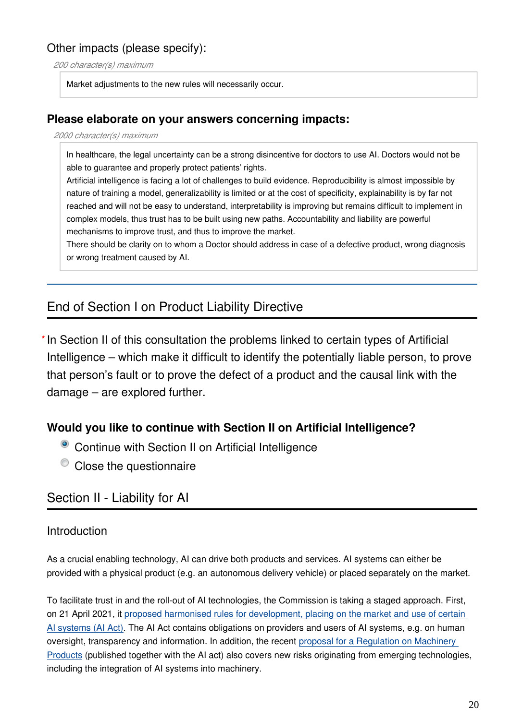#### Other impacts (please specify):

*200 character(s) maximum*

Market adjustments to the new rules will necessarily occur.

#### **Please elaborate on your answers concerning impacts:**

#### *2000 character(s) maximum*

In healthcare, the legal uncertainty can be a strong disincentive for doctors to use AI. Doctors would not be able to guarantee and properly protect patients' rights.

Artificial intelligence is facing a lot of challenges to build evidence. Reproducibility is almost impossible by nature of training a model, generalizability is limited or at the cost of specificity, explainability is by far not reached and will not be easy to understand, interpretability is improving but remains difficult to implement in complex models, thus trust has to be built using new paths. Accountability and liability are powerful mechanisms to improve trust, and thus to improve the market.

There should be clarity on to whom a Doctor should address in case of a defective product, wrong diagnosis or wrong treatment caused by AI.

### End of Section I on Product Liability Directive

\* In Section II of this consultation the problems linked to certain types of Artificial Intelligence – which make it difficult to identify the potentially liable person, to prove that person's fault or to prove the defect of a product and the causal link with the damage – are explored further.

#### **Would you like to continue with Section II on Artificial Intelligence?**

- <sup>o</sup> Continue with Section II on Artificial Intelligence
- <sup>o</sup> Close the questionnaire

### Section II - Liability for AI

#### Introduction

As a crucial enabling technology, AI can drive both products and services. AI systems can either be provided with a physical product (e.g. an autonomous delivery vehicle) or placed separately on the market.

To facilitate trust in and the roll-out of AI technologies, the Commission is taking a staged approach. First, on 21 April 2021, it [proposed harmonised rules for development, placing on the market and use of certain](https://eur-lex.europa.eu/legal-content/EN/TXT/?uri=CELEX%3A52021PC0206)  [AI systems \(AI Act\)](https://eur-lex.europa.eu/legal-content/EN/TXT/?uri=CELEX%3A52021PC0206). The AI Act contains obligations on providers and users of AI systems, e.g. on human oversight, transparency and information. In addition, the recent [proposal for a Regulation on Machinery](https://eur-lex.europa.eu/legal-content/EN/TXT/?uri=CELEX%3A52021PC0202)  [Products](https://eur-lex.europa.eu/legal-content/EN/TXT/?uri=CELEX%3A52021PC0202) (published together with the AI act) also covers new risks originating from emerging technologies, including the integration of AI systems into machinery.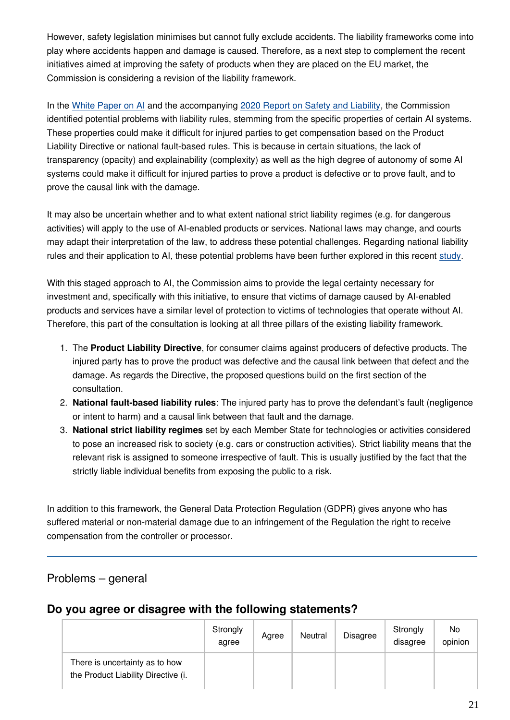However, safety legislation minimises but cannot fully exclude accidents. The liability frameworks come into play where accidents happen and damage is caused. Therefore, as a next step to complement the recent initiatives aimed at improving the safety of products when they are placed on the EU market, the Commission is considering a revision of the liability framework.

In the [White Paper on AI](https://ec.europa.eu/info/publications/white-paper-artificial-intelligence-european-approach-excellence-and-trust_en) and the accompanying [2020 Report on Safety and Liability](https://ec.europa.eu/info/sites/default/files/report-safety-liability-artificial-intelligence-feb2020_en_1.pdf), the Commission identified potential problems with liability rules, stemming from the specific properties of certain AI systems. These properties could make it difficult for injured parties to get compensation based on the Product Liability Directive or national fault-based rules. This is because in certain situations, the lack of transparency (opacity) and explainability (complexity) as well as the high degree of autonomy of some AI systems could make it difficult for injured parties to prove a product is defective or to prove fault, and to prove the causal link with the damage.

It may also be uncertain whether and to what extent national strict liability regimes (e.g. for dangerous activities) will apply to the use of AI-enabled products or services. National laws may change, and courts may adapt their interpretation of the law, to address these potential challenges. Regarding national liability rules and their application to AI, these potential problems have been further explored in this recent [study](https://op.europa.eu/publication/manifestation_identifier/PUB_DS0921157ENC).

With this staged approach to AI, the Commission aims to provide the legal certainty necessary for investment and, specifically with this initiative, to ensure that victims of damage caused by AI-enabled products and services have a similar level of protection to victims of technologies that operate without AI. Therefore, this part of the consultation is looking at all three pillars of the existing liability framework.

- 1. The **Product Liability Directive**, for consumer claims against producers of defective products. The injured party has to prove the product was defective and the causal link between that defect and the damage. As regards the Directive, the proposed questions build on the first section of the consultation.
- 2. **National fault-based liability rules**: The injured party has to prove the defendant's fault (negligence or intent to harm) and a causal link between that fault and the damage.
- 3. **National strict liability regimes** set by each Member State for technologies or activities considered to pose an increased risk to society (e.g. cars or construction activities). Strict liability means that the relevant risk is assigned to someone irrespective of fault. This is usually justified by the fact that the strictly liable individual benefits from exposing the public to a risk.

In addition to this framework, the General Data Protection Regulation (GDPR) gives anyone who has suffered material or non-material damage due to an infringement of the Regulation the right to receive compensation from the controller or processor.

#### Problems – general

#### **Do you agree or disagree with the following statements?**

|                                                                       | Strongly<br>agree | Agree | Neutral | Disagree | Strongly<br>disagree | No<br>opinion |
|-----------------------------------------------------------------------|-------------------|-------|---------|----------|----------------------|---------------|
| There is uncertainty as to how<br>the Product Liability Directive (i. |                   |       |         |          |                      |               |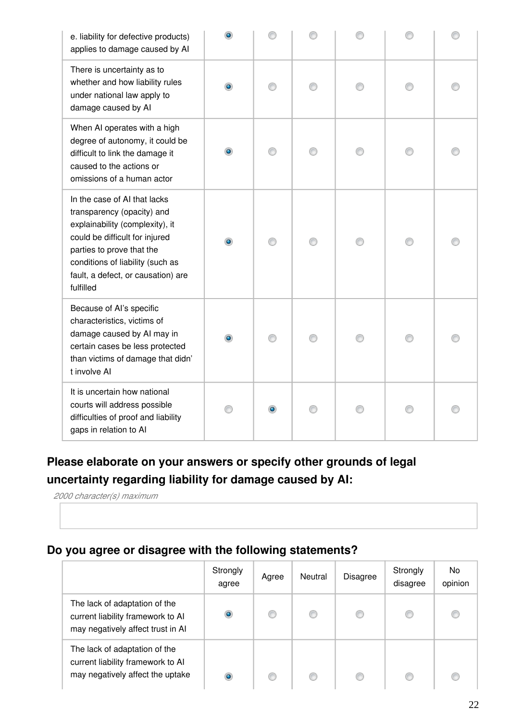| e. liability for defective products)<br>applies to damage caused by Al                                                                                                                                                                              |           |   |   |   |  |
|-----------------------------------------------------------------------------------------------------------------------------------------------------------------------------------------------------------------------------------------------------|-----------|---|---|---|--|
| There is uncertainty as to<br>whether and how liability rules<br>under national law apply to<br>damage caused by Al                                                                                                                                 | $\bullet$ |   |   | ⋒ |  |
| When AI operates with a high<br>degree of autonomy, it could be<br>difficult to link the damage it<br>caused to the actions or<br>omissions of a human actor                                                                                        | $\bullet$ |   |   |   |  |
| In the case of AI that lacks<br>transparency (opacity) and<br>explainability (complexity), it<br>could be difficult for injured<br>parties to prove that the<br>conditions of liability (such as<br>fault, a defect, or causation) are<br>fulfilled | ۰         | ⋒ | ∩ | ⋒ |  |
| Because of Al's specific<br>characteristics, victims of<br>damage caused by AI may in<br>certain cases be less protected<br>than victims of damage that didn'<br>t involve Al                                                                       |           |   |   | ⋒ |  |
| It is uncertain how national<br>courts will address possible<br>difficulties of proof and liability<br>gaps in relation to Al                                                                                                                       |           |   |   |   |  |

### **Please elaborate on your answers or specify other grounds of legal uncertainty regarding liability for damage caused by AI:**

*2000 character(s) maximum*

### **Do you agree or disagree with the following statements?**

|                                                                                                         | Strongly<br>agree | Agree | Neutral | <b>Disagree</b> | Strongly<br>disagree | No.<br>opinion |
|---------------------------------------------------------------------------------------------------------|-------------------|-------|---------|-----------------|----------------------|----------------|
| The lack of adaptation of the<br>current liability framework to Al<br>may negatively affect trust in AI | ۱                 |       |         |                 | C                    | C              |
| The lack of adaptation of the<br>current liability framework to Al<br>may negatively affect the uptake  | ۱                 | €     |         |                 | €                    | €              |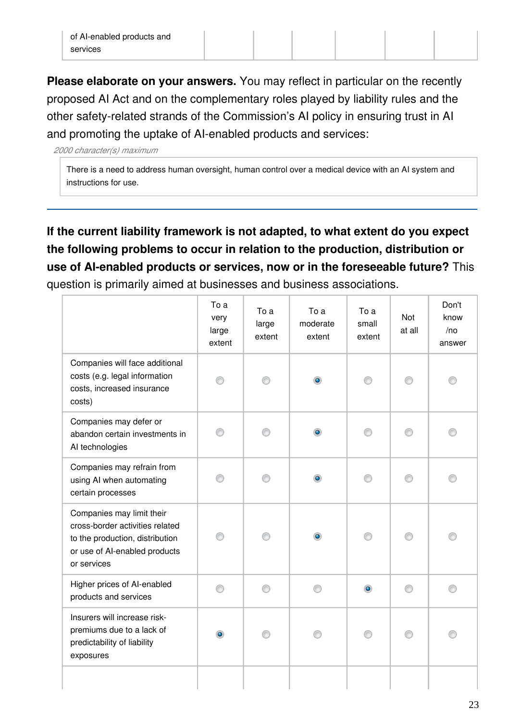| of AI-enabled products and |  |  |  |
|----------------------------|--|--|--|
| services                   |  |  |  |

**Please elaborate on your answers.** You may reflect in particular on the recently proposed AI Act and on the complementary roles played by liability rules and the other safety-related strands of the Commission's AI policy in ensuring trust in AI and promoting the uptake of AI-enabled products and services:

*2000 character(s) maximum*

There is a need to address human oversight, human control over a medical device with an AI system and instructions for use.

**If the current liability framework is not adapted, to what extent do you expect the following problems to occur in relation to the production, distribution or use of AI-enabled products or services, now or in the foreseeable future?** This question is primarily aimed at businesses and business associations.

|                                                                                                                                                 | To a<br>very<br>large<br>extent | To a<br>large<br>extent | To a<br>moderate<br>extent | To a<br>small<br>extent | Not<br>at all | Don't<br>know<br>/no<br>answer |
|-------------------------------------------------------------------------------------------------------------------------------------------------|---------------------------------|-------------------------|----------------------------|-------------------------|---------------|--------------------------------|
| Companies will face additional<br>costs (e.g. legal information<br>costs, increased insurance<br>costs)                                         |                                 |                         | $\bullet$                  |                         |               |                                |
| Companies may defer or<br>abandon certain investments in<br>Al technologies                                                                     |                                 |                         | $\bullet$                  |                         |               |                                |
| Companies may refrain from<br>using AI when automating<br>certain processes                                                                     |                                 |                         | ۰                          |                         |               |                                |
| Companies may limit their<br>cross-border activities related<br>to the production, distribution<br>or use of AI-enabled products<br>or services | ∩                               |                         | $\bullet$                  | ∩                       | ∩             |                                |
| Higher prices of AI-enabled<br>products and services                                                                                            | ⊙                               | ∩                       | ∩                          | ۰                       | ∩             | €                              |
| Insurers will increase risk-<br>premiums due to a lack of<br>predictability of liability<br>exposures                                           | ۰                               |                         |                            |                         |               |                                |
|                                                                                                                                                 |                                 |                         |                            |                         |               |                                |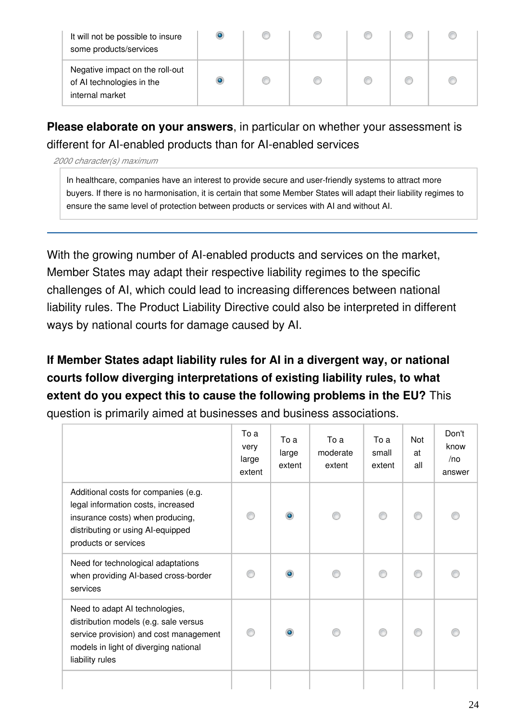| It will not be possible to insure<br>some products/services                     |  |  |  |
|---------------------------------------------------------------------------------|--|--|--|
| Negative impact on the roll-out<br>of AI technologies in the<br>internal market |  |  |  |

**Please elaborate on your answers**, in particular on whether your assessment is different for AI-enabled products than for AI-enabled services

*2000 character(s) maximum*

In healthcare, companies have an interest to provide secure and user-friendly systems to attract more buyers. If there is no harmonisation, it is certain that some Member States will adapt their liability regimes to ensure the same level of protection between products or services with AI and without AI.

With the growing number of AI-enabled products and services on the market, Member States may adapt their respective liability regimes to the specific challenges of AI, which could lead to increasing differences between national liability rules. The Product Liability Directive could also be interpreted in different ways by national courts for damage caused by AI.

**If Member States adapt liability rules for AI in a divergent way, or national courts follow diverging interpretations of existing liability rules, to what extent do you expect this to cause the following problems in the EU?** This question is primarily aimed at businesses and business associations.

|                                                                                                                                                                               | To a<br>very<br>large<br>extent | To a<br>large<br>extent | To a<br>moderate<br>extent | To a<br>small<br>extent | Not<br>at<br>all | Don't<br>know<br>/no<br>answer |
|-------------------------------------------------------------------------------------------------------------------------------------------------------------------------------|---------------------------------|-------------------------|----------------------------|-------------------------|------------------|--------------------------------|
| Additional costs for companies (e.g.<br>legal information costs, increased<br>insurance costs) when producing,<br>distributing or using AI-equipped<br>products or services   |                                 | $\bullet$               |                            | ⋒                       | ⋒                |                                |
| Need for technological adaptations<br>when providing Al-based cross-border<br>services                                                                                        |                                 |                         |                            |                         |                  |                                |
| Need to adapt AI technologies,<br>distribution models (e.g. sale versus<br>service provision) and cost management<br>models in light of diverging national<br>liability rules |                                 |                         |                            | ⋒                       |                  |                                |
|                                                                                                                                                                               |                                 |                         |                            |                         |                  |                                |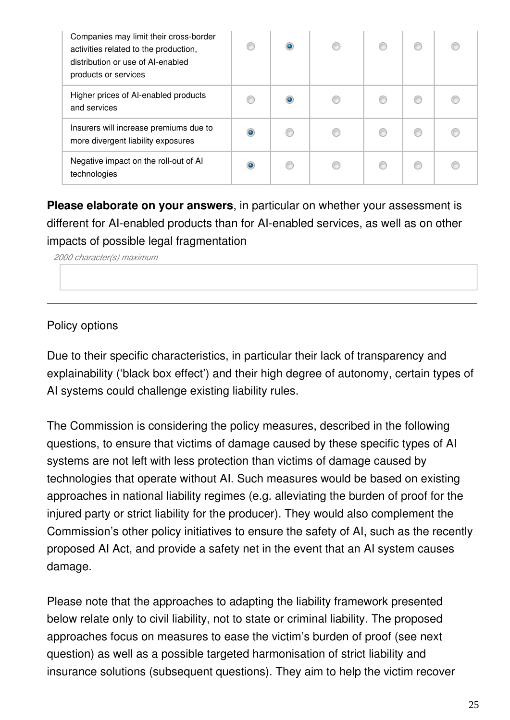| Companies may limit their cross-border<br>activities related to the production,<br>distribution or use of AI-enabled<br>products or services |           | $\bullet$ |  |  |
|----------------------------------------------------------------------------------------------------------------------------------------------|-----------|-----------|--|--|
| Higher prices of AI-enabled products<br>and services                                                                                         |           | ۰         |  |  |
| Insurers will increase premiums due to<br>more divergent liability exposures                                                                 | $\bullet$ |           |  |  |
| Negative impact on the roll-out of AI<br>technologies                                                                                        | ۰         |           |  |  |

**Please elaborate on your answers**, in particular on whether your assessment is different for AI-enabled products than for AI-enabled services, as well as on other impacts of possible legal fragmentation

*2000 character(s) maximum*

#### Policy options

Due to their specific characteristics, in particular their lack of transparency and explainability ('black box effect') and their high degree of autonomy, certain types of AI systems could challenge existing liability rules.

The Commission is considering the policy measures, described in the following questions, to ensure that victims of damage caused by these specific types of AI systems are not left with less protection than victims of damage caused by technologies that operate without AI. Such measures would be based on existing approaches in national liability regimes (e.g. alleviating the burden of proof for the injured party or strict liability for the producer). They would also complement the Commission's other policy initiatives to ensure the safety of AI, such as the recently proposed AI Act, and provide a safety net in the event that an AI system causes damage.

Please note that the approaches to adapting the liability framework presented below relate only to civil liability, not to state or criminal liability. The proposed approaches focus on measures to ease the victim's burden of proof (see next question) as well as a possible targeted harmonisation of strict liability and insurance solutions (subsequent questions). They aim to help the victim recover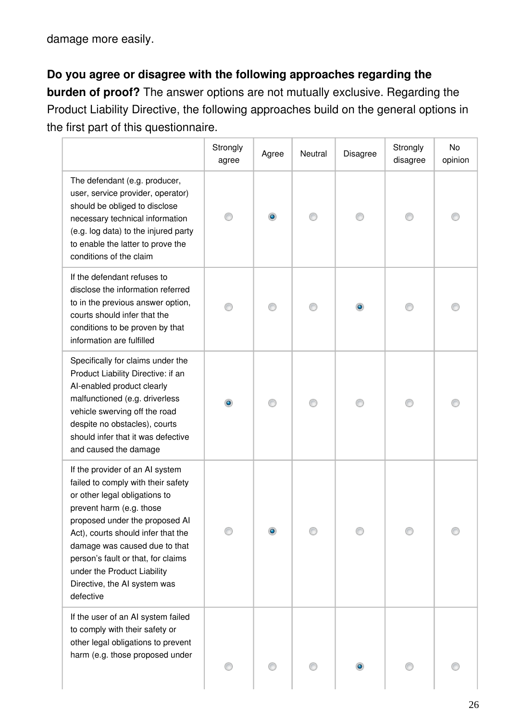damage more easily.

### **Do you agree or disagree with the following approaches regarding the**

**burden of proof?** The answer options are not mutually exclusive. Regarding the Product Liability Directive, the following approaches build on the general options in the first part of this questionnaire.

|                                                                                                                                                                                                                                                                                                                                                               | Strongly<br>agree | Agree | Neutral | <b>Disagree</b> | Strongly<br>disagree | No<br>opinion |
|---------------------------------------------------------------------------------------------------------------------------------------------------------------------------------------------------------------------------------------------------------------------------------------------------------------------------------------------------------------|-------------------|-------|---------|-----------------|----------------------|---------------|
| The defendant (e.g. producer,<br>user, service provider, operator)<br>should be obliged to disclose<br>necessary technical information<br>(e.g. log data) to the injured party<br>to enable the latter to prove the<br>conditions of the claim                                                                                                                |                   |       |         |                 | O                    |               |
| If the defendant refuses to<br>disclose the information referred<br>to in the previous answer option,<br>courts should infer that the<br>conditions to be proven by that<br>information are fulfilled                                                                                                                                                         |                   |       |         |                 | O                    |               |
| Specifically for claims under the<br>Product Liability Directive: if an<br>Al-enabled product clearly<br>malfunctioned (e.g. driverless<br>vehicle swerving off the road<br>despite no obstacles), courts<br>should infer that it was defective<br>and caused the damage                                                                                      | $\bullet$         |       |         |                 |                      |               |
| If the provider of an AI system<br>failed to comply with their safety<br>or other legal obligations to<br>prevent harm (e.g. those<br>proposed under the proposed AI<br>Act), courts should infer that the<br>damage was caused due to that<br>person's fault or that, for claims<br>under the Product Liability<br>Directive, the AI system was<br>defective |                   |       |         |                 |                      |               |
| If the user of an AI system failed<br>to comply with their safety or<br>other legal obligations to prevent<br>harm (e.g. those proposed under                                                                                                                                                                                                                 |                   |       |         |                 |                      |               |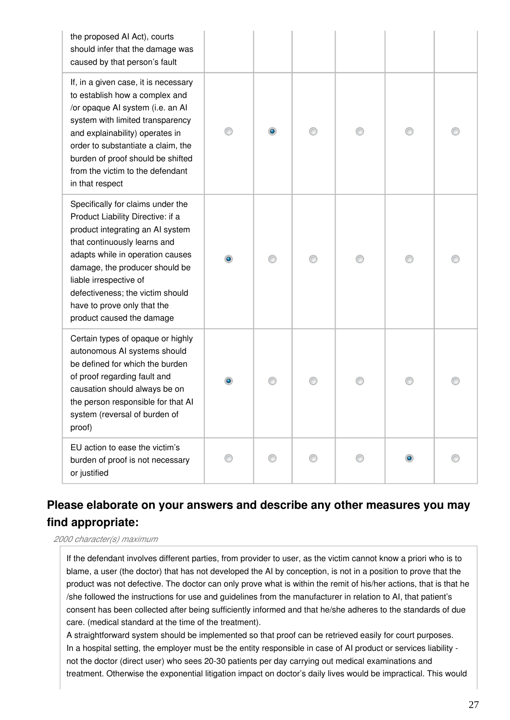| the proposed AI Act), courts<br>should infer that the damage was<br>caused by that person's fault                                                                                                                                                                                                                                          |  |  |  |
|--------------------------------------------------------------------------------------------------------------------------------------------------------------------------------------------------------------------------------------------------------------------------------------------------------------------------------------------|--|--|--|
| If, in a given case, it is necessary<br>to establish how a complex and<br>/or opaque AI system (i.e. an AI<br>system with limited transparency<br>and explainability) operates in<br>order to substantiate a claim, the<br>burden of proof should be shifted<br>from the victim to the defendant<br>in that respect                        |  |  |  |
| Specifically for claims under the<br>Product Liability Directive: if a<br>product integrating an AI system<br>that continuously learns and<br>adapts while in operation causes<br>damage, the producer should be<br>liable irrespective of<br>defectiveness; the victim should<br>have to prove only that the<br>product caused the damage |  |  |  |
| Certain types of opaque or highly<br>autonomous AI systems should<br>be defined for which the burden<br>of proof regarding fault and<br>causation should always be on<br>the person responsible for that AI<br>system (reversal of burden of<br>proof)                                                                                     |  |  |  |
| EU action to ease the victim's<br>burden of proof is not necessary<br>or justified                                                                                                                                                                                                                                                         |  |  |  |

### **Please elaborate on your answers and describe any other measures you may find appropriate:**

*2000 character(s) maximum*

If the defendant involves different parties, from provider to user, as the victim cannot know a priori who is to blame, a user (the doctor) that has not developed the AI by conception, is not in a position to prove that the product was not defective. The doctor can only prove what is within the remit of his/her actions, that is that he /she followed the instructions for use and guidelines from the manufacturer in relation to AI, that patient's consent has been collected after being sufficiently informed and that he/she adheres to the standards of due care. (medical standard at the time of the treatment).

A straightforward system should be implemented so that proof can be retrieved easily for court purposes. In a hospital setting, the employer must be the entity responsible in case of AI product or services liability not the doctor (direct user) who sees 20-30 patients per day carrying out medical examinations and treatment. Otherwise the exponential litigation impact on doctor's daily lives would be impractical. This would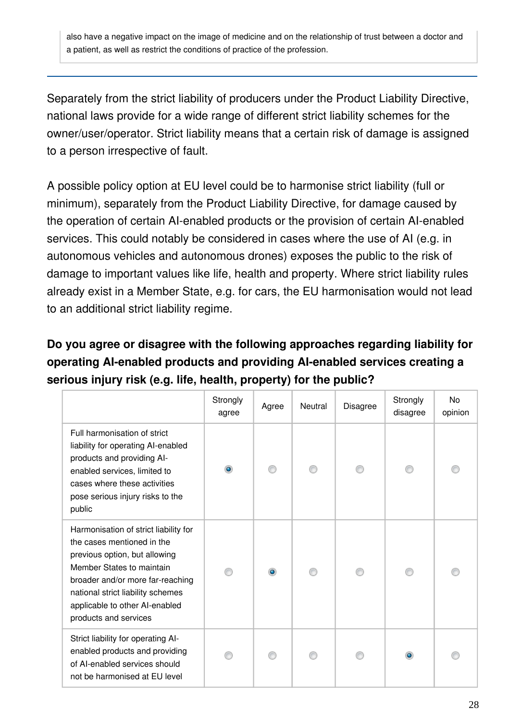also have a negative impact on the image of medicine and on the relationship of trust between a doctor and a patient, as well as restrict the conditions of practice of the profession.

Separately from the strict liability of producers under the Product Liability Directive, national laws provide for a wide range of different strict liability schemes for the owner/user/operator. Strict liability means that a certain risk of damage is assigned to a person irrespective of fault.

A possible policy option at EU level could be to harmonise strict liability (full or minimum), separately from the Product Liability Directive, for damage caused by the operation of certain AI-enabled products or the provision of certain AI-enabled services. This could notably be considered in cases where the use of AI (e.g. in autonomous vehicles and autonomous drones) exposes the public to the risk of damage to important values like life, health and property. Where strict liability rules already exist in a Member State, e.g. for cars, the EU harmonisation would not lead to an additional strict liability regime.

### **Do you agree or disagree with the following approaches regarding liability for operating AI-enabled products and providing AI-enabled services creating a serious injury risk (e.g. life, health, property) for the public?**

|                                                                                                                                                                                                                                                                       | Strongly<br>agree | Agree     | Neutral | <b>Disagree</b> | Strongly<br>disagree | No<br>opinion |
|-----------------------------------------------------------------------------------------------------------------------------------------------------------------------------------------------------------------------------------------------------------------------|-------------------|-----------|---------|-----------------|----------------------|---------------|
| Full harmonisation of strict<br>liability for operating AI-enabled<br>products and providing AI-<br>enabled services, limited to<br>cases where these activities<br>pose serious injury risks to the<br>public                                                        | $\bullet$         |           |         |                 |                      |               |
| Harmonisation of strict liability for<br>the cases mentioned in the<br>previous option, but allowing<br>Member States to maintain<br>broader and/or more far-reaching<br>national strict liability schemes<br>applicable to other AI-enabled<br>products and services |                   | $\bullet$ |         |                 |                      |               |
| Strict liability for operating Al-<br>enabled products and providing<br>of AI-enabled services should<br>not be harmonised at EU level                                                                                                                                |                   |           |         |                 | ۰                    |               |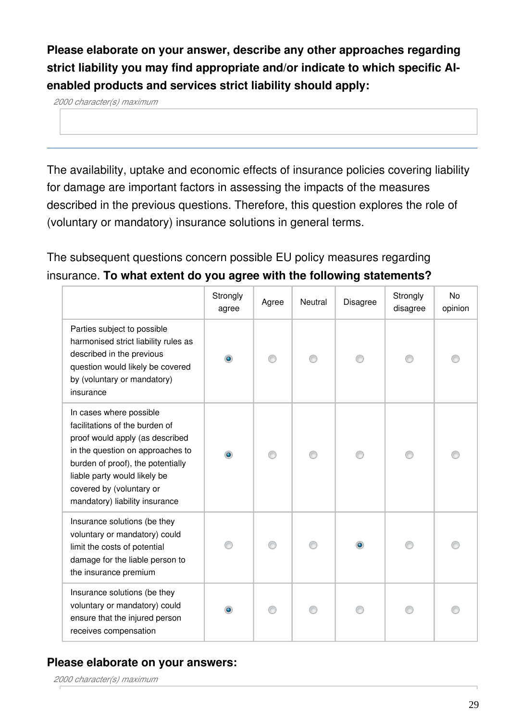**Please elaborate on your answer, describe any other approaches regarding strict liability you may find appropriate and/or indicate to which specific AIenabled products and services strict liability should apply:**

*2000 character(s) maximum*

The availability, uptake and economic effects of insurance policies covering liability for damage are important factors in assessing the impacts of the measures described in the previous questions. Therefore, this question explores the role of (voluntary or mandatory) insurance solutions in general terms.

The subsequent questions concern possible EU policy measures regarding insurance. **To what extent do you agree with the following statements?**

|                                                                                                                                                                                                                                                                     | Strongly<br>agree | Agree | Neutral | <b>Disagree</b> | Strongly<br>disagree | No<br>opinion |
|---------------------------------------------------------------------------------------------------------------------------------------------------------------------------------------------------------------------------------------------------------------------|-------------------|-------|---------|-----------------|----------------------|---------------|
| Parties subject to possible<br>harmonised strict liability rules as<br>described in the previous<br>question would likely be covered<br>by (voluntary or mandatory)<br>insurance                                                                                    | $\bullet$         |       |         |                 |                      |               |
| In cases where possible<br>facilitations of the burden of<br>proof would apply (as described<br>in the question on approaches to<br>burden of proof), the potentially<br>liable party would likely be<br>covered by (voluntary or<br>mandatory) liability insurance | $\bullet$         |       |         |                 |                      |               |
| Insurance solutions (be they<br>voluntary or mandatory) could<br>limit the costs of potential<br>damage for the liable person to<br>the insurance premium                                                                                                           |                   |       |         |                 |                      |               |
| Insurance solutions (be they<br>voluntary or mandatory) could<br>ensure that the injured person<br>receives compensation                                                                                                                                            |                   |       |         |                 |                      |               |

#### **Please elaborate on your answers:**

*2000 character(s) maximum*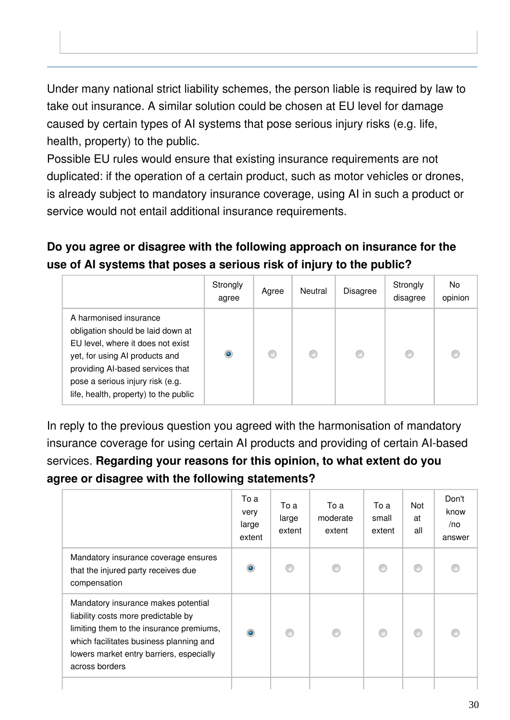Under many national strict liability schemes, the person liable is required by law to take out insurance. A similar solution could be chosen at EU level for damage caused by certain types of AI systems that pose serious injury risks (e.g. life, health, property) to the public.

Possible EU rules would ensure that existing insurance requirements are not duplicated: if the operation of a certain product, such as motor vehicles or drones, is already subject to mandatory insurance coverage, using AI in such a product or service would not entail additional insurance requirements.

### **Do you agree or disagree with the following approach on insurance for the use of AI systems that poses a serious risk of injury to the public?**

|                                                                                                                                                                                                                                                     | Strongly<br>agree | Agree | Neutral | <b>Disagree</b> | Strongly<br>disagree | No.<br>opinion |
|-----------------------------------------------------------------------------------------------------------------------------------------------------------------------------------------------------------------------------------------------------|-------------------|-------|---------|-----------------|----------------------|----------------|
| A harmonised insurance<br>obligation should be laid down at<br>EU level, where it does not exist<br>yet, for using AI products and<br>providing Al-based services that<br>pose a serious injury risk (e.g.<br>life, health, property) to the public | ۰                 | €     |         | €               | C                    | C              |

In reply to the previous question you agreed with the harmonisation of mandatory insurance coverage for using certain AI products and providing of certain AI-based services. **Regarding your reasons for this opinion, to what extent do you agree or disagree with the following statements?**

|                                                                                                                                                                                                                                 | To a<br>very<br>large<br>extent | To a<br>large<br>extent | To a<br>moderate<br>extent | To a<br>small<br>extent | Not<br>at<br>all | Don't<br>know<br>/no<br>answer |
|---------------------------------------------------------------------------------------------------------------------------------------------------------------------------------------------------------------------------------|---------------------------------|-------------------------|----------------------------|-------------------------|------------------|--------------------------------|
| Mandatory insurance coverage ensures<br>that the injured party receives due<br>compensation                                                                                                                                     | $\bullet$                       |                         |                            |                         |                  |                                |
| Mandatory insurance makes potential<br>liability costs more predictable by<br>limiting them to the insurance premiums,<br>which facilitates business planning and<br>lowers market entry barriers, especially<br>across borders | $\bullet$                       |                         |                            | ⋒                       |                  |                                |
|                                                                                                                                                                                                                                 |                                 |                         |                            |                         |                  |                                |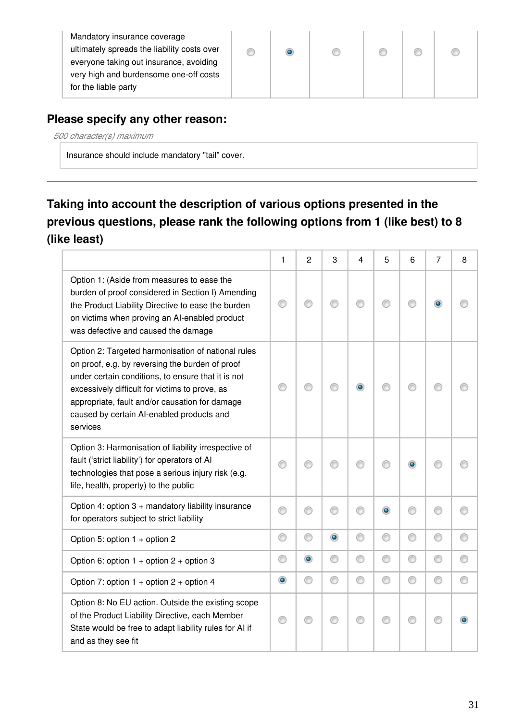| Mandatory insurance coverage                |  |  |  |
|---------------------------------------------|--|--|--|
| ultimately spreads the liability costs over |  |  |  |
| everyone taking out insurance, avoiding     |  |  |  |
| very high and burdensome one-off costs      |  |  |  |
| for the liable party                        |  |  |  |
|                                             |  |  |  |

#### **Please specify any other reason:**

*500 character(s) maximum*

Insurance should include mandatory "tail" cover.

## **Taking into account the description of various options presented in the previous questions, please rank the following options from 1 (like best) to 8 (like least)**

|                                                                                                                                                                                                                                                                                                                          | 1              | $\overline{2}$ | 3         | 4 | 5 | 6 | 7 | 8 |
|--------------------------------------------------------------------------------------------------------------------------------------------------------------------------------------------------------------------------------------------------------------------------------------------------------------------------|----------------|----------------|-----------|---|---|---|---|---|
| Option 1: (Aside from measures to ease the<br>burden of proof considered in Section I) Amending<br>the Product Liability Directive to ease the burden<br>on victims when proving an AI-enabled product<br>was defective and caused the damage                                                                            | ⊙              | €              |           | ⊙ | ∩ |   | ۰ |   |
| Option 2: Targeted harmonisation of national rules<br>on proof, e.g. by reversing the burden of proof<br>under certain conditions, to ensure that it is not<br>excessively difficult for victims to prove, as<br>appropriate, fault and/or causation for damage<br>caused by certain AI-enabled products and<br>services |                |                |           | ۰ |   |   |   |   |
| Option 3: Harmonisation of liability irrespective of<br>fault ('strict liability') for operators of Al<br>technologies that pose a serious injury risk (e.g.<br>life, health, property) to the public                                                                                                                    |                |                |           |   |   |   |   |   |
| Option 4: option 3 + mandatory liability insurance<br>for operators subject to strict liability                                                                                                                                                                                                                          | ⊙              |                |           | ⊙ | ۰ |   | ⊙ |   |
| Option 5: option 1 + option 2                                                                                                                                                                                                                                                                                            | 0              | 0              | $\bullet$ | 0 | 0 | 0 | 0 |   |
| Option 6: option $1 +$ option $2 +$ option 3                                                                                                                                                                                                                                                                             | ⊙              | $\bullet$      | 0         | 0 | 0 | 0 | 0 |   |
| Option 7: option $1 +$ option $2 +$ option 4                                                                                                                                                                                                                                                                             | $\circledcirc$ | 0              | ⊙         | 0 | 0 | ⊙ | 0 | ⊙ |
| Option 8: No EU action. Outside the existing scope<br>of the Product Liability Directive, each Member<br>State would be free to adapt liability rules for AI if<br>and as they see fit                                                                                                                                   | ⊙              | ⋒              |           | ⊙ | ⋒ |   | ⊙ |   |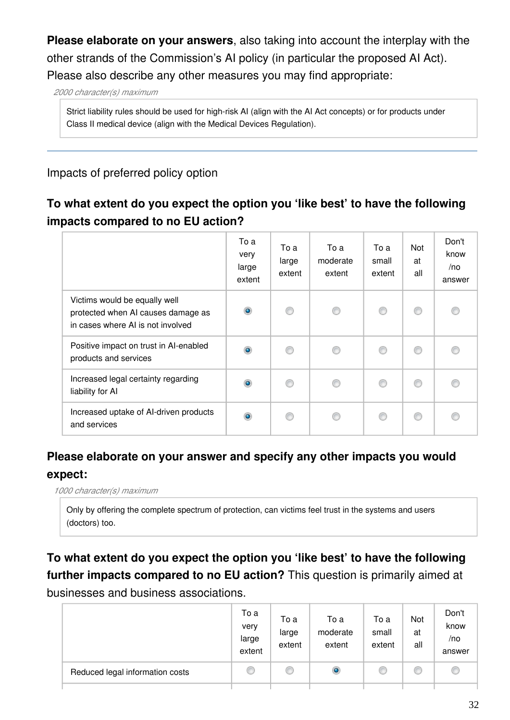**Please elaborate on your answers**, also taking into account the interplay with the other strands of the Commission's AI policy (in particular the proposed AI Act). Please also describe any other measures you may find appropriate:

*2000 character(s) maximum*

Strict liability rules should be used for high-risk AI (align with the AI Act concepts) or for products under Class II medical device (align with the Medical Devices Regulation).

#### Impacts of preferred policy option

### **To what extent do you expect the option you 'like best' to have the following impacts compared to no EU action?**

|                                                                                                          | To a<br>very<br>large<br>extent | To a<br>large<br>extent | To a<br>moderate<br>extent | To a<br>small<br>extent | Not<br>at<br>all | Don't<br>know<br>/no<br>answer |
|----------------------------------------------------------------------------------------------------------|---------------------------------|-------------------------|----------------------------|-------------------------|------------------|--------------------------------|
| Victims would be equally well<br>protected when AI causes damage as<br>in cases where AI is not involved | $\bullet$                       | €                       |                            | ∩                       | ⋒                | e                              |
| Positive impact on trust in Al-enabled<br>products and services                                          | $\bullet$                       | ⋒                       |                            |                         | ⋒                |                                |
| Increased legal certainty regarding<br>liability for Al                                                  | $\bullet$                       | ⋒                       |                            |                         | ⋒                |                                |
| Increased uptake of AI-driven products<br>and services                                                   | ۰                               |                         |                            | ⋒                       | €                |                                |

#### **Please elaborate on your answer and specify any other impacts you would**

#### **expect:**

*1000 character(s) maximum*

Only by offering the complete spectrum of protection, can victims feel trust in the systems and users (doctors) too.

**To what extent do you expect the option you 'like best' to have the following further impacts compared to no EU action?** This question is primarily aimed at businesses and business associations.

|                                 | To a<br>very<br>large<br>extent | To a<br>large<br>extent | To a<br>moderate<br>extent | To a<br>small<br>extent | Not<br>at<br>all | Don't<br>know<br>/no<br>answer |
|---------------------------------|---------------------------------|-------------------------|----------------------------|-------------------------|------------------|--------------------------------|
| Reduced legal information costs |                                 |                         | $\circledcirc$             |                         |                  |                                |
|                                 |                                 |                         |                            |                         |                  |                                |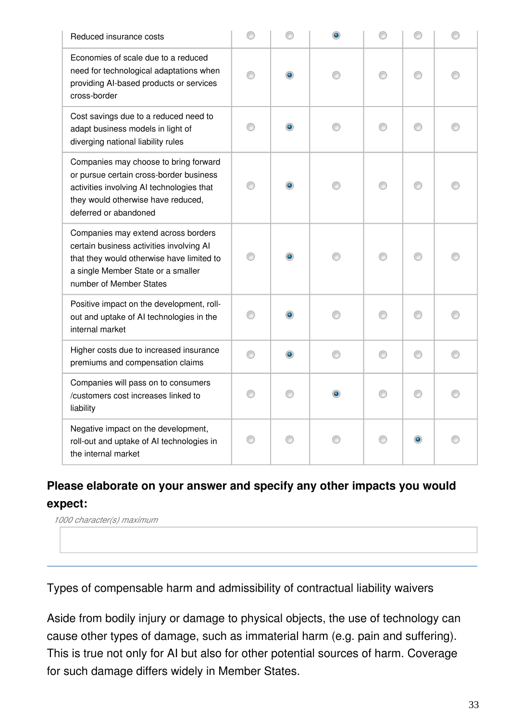| Reduced insurance costs                                                                                                                                                                       |   |           |   |   |  |
|-----------------------------------------------------------------------------------------------------------------------------------------------------------------------------------------------|---|-----------|---|---|--|
| Economies of scale due to a reduced<br>need for technological adaptations when<br>providing Al-based products or services<br>cross-border                                                     | ∩ |           |   | ⋒ |  |
| Cost savings due to a reduced need to<br>adapt business models in light of<br>diverging national liability rules                                                                              |   |           |   |   |  |
| Companies may choose to bring forward<br>or pursue certain cross-border business<br>activities involving AI technologies that<br>they would otherwise have reduced,<br>deferred or abandoned  |   |           |   |   |  |
| Companies may extend across borders<br>certain business activities involving AI<br>that they would otherwise have limited to<br>a single Member State or a smaller<br>number of Member States | ⊙ |           |   |   |  |
| Positive impact on the development, roll-<br>out and uptake of AI technologies in the<br>internal market                                                                                      | ⊙ |           |   |   |  |
| Higher costs due to increased insurance<br>premiums and compensation claims                                                                                                                   | ∩ | ⋒         | ∩ | ∩ |  |
| Companies will pass on to consumers<br>/customers cost increases linked to<br>liability                                                                                                       | ∩ | $\bullet$ |   | ⋒ |  |
| Negative impact on the development,<br>roll-out and uptake of AI technologies in<br>the internal market                                                                                       | ∩ |           | ⋒ |   |  |

# **Please elaborate on your answer and specify any other impacts you would**

#### **expect:**

*1000 character(s) maximum*

Types of compensable harm and admissibility of contractual liability waivers

Aside from bodily injury or damage to physical objects, the use of technology can cause other types of damage, such as immaterial harm (e.g. pain and suffering). This is true not only for AI but also for other potential sources of harm. Coverage for such damage differs widely in Member States.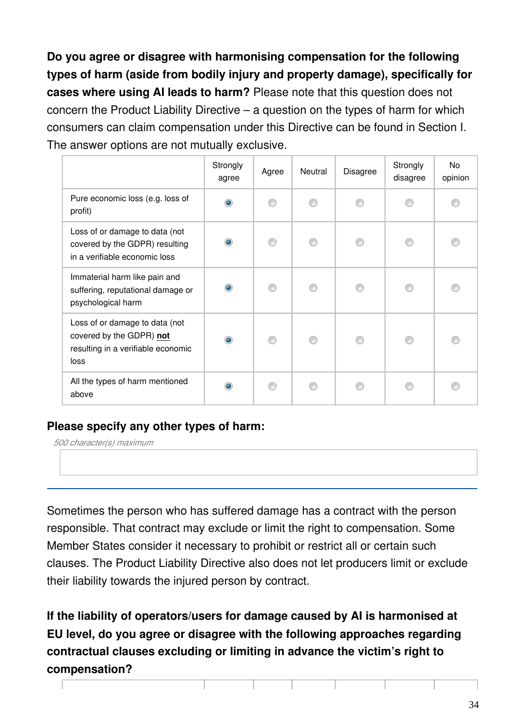**Do you agree or disagree with harmonising compensation for the following types of harm (aside from bodily injury and property damage), specifically for cases where using AI leads to harm?** Please note that this question does not concern the Product Liability Directive – a question on the types of harm for which consumers can claim compensation under this Directive can be found in Section I. The answer options are not mutually exclusive.

|                                                                                                          | Strongly<br>agree | Agree | Neutral | <b>Disagree</b> | Strongly<br>disagree | No<br>opinion |
|----------------------------------------------------------------------------------------------------------|-------------------|-------|---------|-----------------|----------------------|---------------|
| Pure economic loss (e.g. loss of<br>profit)                                                              | ۰                 |       |         |                 |                      |               |
| Loss of or damage to data (not<br>covered by the GDPR) resulting<br>in a verifiable economic loss        | ۰                 |       |         |                 |                      |               |
| Immaterial harm like pain and<br>suffering, reputational damage or<br>psychological harm                 | ۰                 |       |         |                 |                      |               |
| Loss of or damage to data (not<br>covered by the GDPR) not<br>resulting in a verifiable economic<br>loss | $\bullet$         |       |         |                 |                      |               |
| All the types of harm mentioned<br>above                                                                 | $\bullet$         |       |         |                 |                      |               |

#### **Please specify any other types of harm:**

*500 character(s) maximum*

Sometimes the person who has suffered damage has a contract with the person responsible. That contract may exclude or limit the right to compensation. Some Member States consider it necessary to prohibit or restrict all or certain such clauses. The Product Liability Directive also does not let producers limit or exclude their liability towards the injured person by contract.

**If the liability of operators/users for damage caused by AI is harmonised at EU level, do you agree or disagree with the following approaches regarding contractual clauses excluding or limiting in advance the victim's right to compensation?**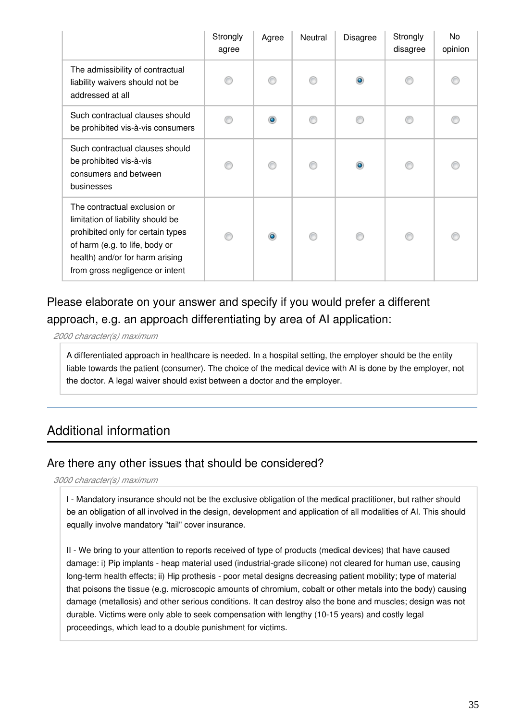|                                                                                                                                                                                                                | Strongly<br>agree | Agree | Neutral | <b>Disagree</b> | Strongly<br>disagree | No<br>opinion |
|----------------------------------------------------------------------------------------------------------------------------------------------------------------------------------------------------------------|-------------------|-------|---------|-----------------|----------------------|---------------|
| The admissibility of contractual<br>liability waivers should not be<br>addressed at all                                                                                                                        |                   | ⋒     |         | ۰               |                      |               |
| Such contractual clauses should<br>be prohibited vis-à-vis consumers                                                                                                                                           |                   | ۰     |         |                 |                      |               |
| Such contractual clauses should<br>be prohibited vis-à-vis<br>consumers and between<br>businesses                                                                                                              |                   | ⋒     |         | ۰               |                      |               |
| The contractual exclusion or<br>limitation of liability should be<br>prohibited only for certain types<br>of harm (e.g. to life, body or<br>health) and/or for harm arising<br>from gross negligence or intent |                   | ۰     |         |                 |                      |               |

### Please elaborate on your answer and specify if you would prefer a different approach, e.g. an approach differentiating by area of AI application:

*2000 character(s) maximum*

A differentiated approach in healthcare is needed. In a hospital setting, the employer should be the entity liable towards the patient (consumer). The choice of the medical device with AI is done by the employer, not the doctor. A legal waiver should exist between a doctor and the employer.

### Additional information

#### Are there any other issues that should be considered?

*3000 character(s) maximum*

I - Mandatory insurance should not be the exclusive obligation of the medical practitioner, but rather should be an obligation of all involved in the design, development and application of all modalities of AI. This should equally involve mandatory "tail" cover insurance.

II - We bring to your attention to reports received of type of products (medical devices) that have caused damage: i) Pip implants - heap material used (industrial-grade silicone) not cleared for human use, causing long-term health effects; ii) Hip prothesis - poor metal designs decreasing patient mobility; type of material that poisons the tissue (e.g. microscopic amounts of chromium, cobalt or other metals into the body) causing damage (metallosis) and other serious conditions. It can destroy also the bone and muscles; design was not durable. Victims were only able to seek compensation with lengthy (10-15 years) and costly legal proceedings, which lead to a double punishment for victims.